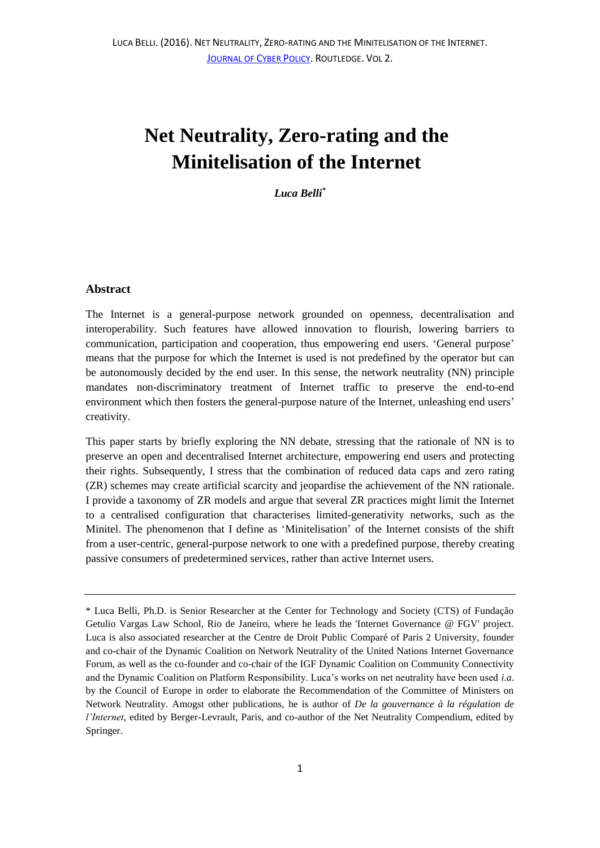# **Net Neutrality, Zero-rating and the Minitelisation of the Internet**

*Luca Belli\**

## **Abstract**

The Internet is a general-purpose network grounded on openness, decentralisation and interoperability. Such features have allowed innovation to flourish, lowering barriers to communication, participation and cooperation, thus empowering end users. 'General purpose' means that the purpose for which the Internet is used is not predefined by the operator but can be autonomously decided by the end user. In this sense, the network neutrality (NN) principle mandates non-discriminatory treatment of Internet traffic to preserve the end-to-end environment which then fosters the general-purpose nature of the Internet, unleashing end users' creativity.

This paper starts by briefly exploring the NN debate, stressing that the rationale of NN is to preserve an open and decentralised Internet architecture, empowering end users and protecting their rights. Subsequently, I stress that the combination of reduced data caps and zero rating (ZR) schemes may create artificial scarcity and jeopardise the achievement of the NN rationale. I provide a taxonomy of ZR models and argue that several ZR practices might limit the Internet to a centralised configuration that characterises limited-generativity networks, such as the Minitel. The phenomenon that I define as 'Minitelisation' of the Internet consists of the shift from a user-centric, general-purpose network to one with a predefined purpose, thereby creating passive consumers of predetermined services, rather than active Internet users.

<sup>\*</sup> Luca Belli, Ph.D. is Senior Researcher at the Center for Technology and Society (CTS) of Fundação Getulio Vargas Law School, Rio de Janeiro, where he leads the 'Internet Governance @ FGV' project. Luca is also associated researcher at the Centre de Droit Public Comparé of Paris 2 University, founder and co-chair of the Dynamic Coalition on Network Neutrality of the United Nations Internet Governance Forum, as well as the co-founder and co-chair of the IGF Dynamic Coalition on Community Connectivity and the Dynamic Coalition on Platform Responsibility. Luca's works on net neutrality have been used *i.a*. by the Council of Europe in order to elaborate the Recommendation of the Committee of Ministers on Network Neutrality. Amogst other publications, he is author of *De la gouvernance à la régulation de l'Internet*, edited by Berger-Levrault, Paris, and co-author of the Net Neutrality Compendium, edited by Springer.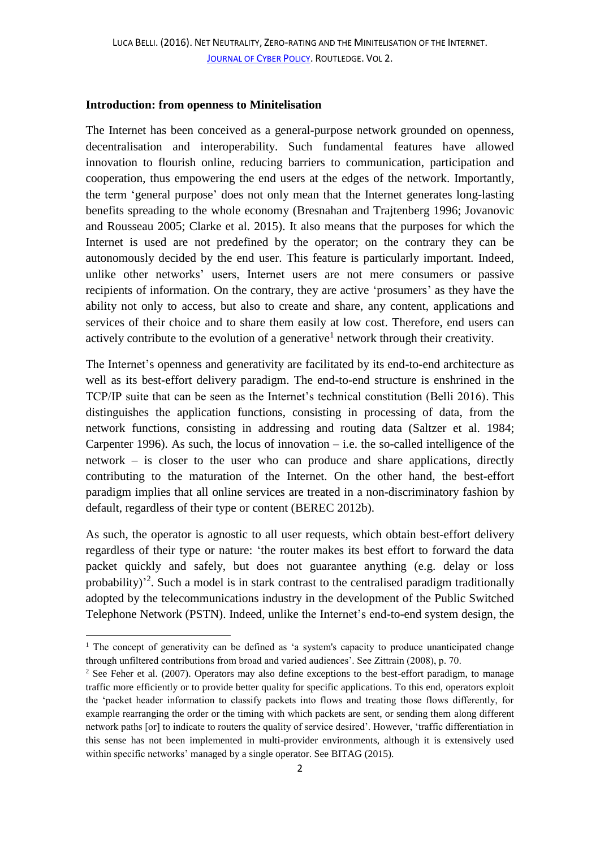## **Introduction: from openness to Minitelisation**

The Internet has been conceived as a general-purpose network grounded on openness, decentralisation and interoperability. Such fundamental features have allowed innovation to flourish online, reducing barriers to communication, participation and cooperation, thus empowering the end users at the edges of the network. Importantly, the term 'general purpose' does not only mean that the Internet generates long-lasting benefits spreading to the whole economy (Bresnahan and Trajtenberg 1996; Jovanovic and Rousseau 2005; Clarke et al. 2015). It also means that the purposes for which the Internet is used are not predefined by the operator; on the contrary they can be autonomously decided by the end user. This feature is particularly important. Indeed, unlike other networks' users, Internet users are not mere consumers or passive recipients of information. On the contrary, they are active 'prosumers' as they have the ability not only to access, but also to create and share, any content, applications and services of their choice and to share them easily at low cost. Therefore, end users can actively contribute to the evolution of a generative<sup>1</sup> network through their creativity.

The Internet's openness and generativity are facilitated by its end-to-end architecture as well as its best-effort delivery paradigm. The end-to-end structure is enshrined in the TCP/IP suite that can be seen as the Internet's technical constitution (Belli 2016). This distinguishes the application functions, consisting in processing of data, from the network functions, consisting in addressing and routing data (Saltzer et al. 1984; Carpenter 1996). As such, the locus of innovation  $-$  i.e. the so-called intelligence of the network – is closer to the user who can produce and share applications, directly contributing to the maturation of the Internet. On the other hand, the best-effort paradigm implies that all online services are treated in a non-discriminatory fashion by default, regardless of their type or content (BEREC 2012b).

As such, the operator is agnostic to all user requests, which obtain best-effort delivery regardless of their type or nature: 'the router makes its best effort to forward the data packet quickly and safely, but does not guarantee anything (e.g. delay or loss probability)<sup>2</sup>. Such a model is in stark contrast to the centralised paradigm traditionally adopted by the telecommunications industry in the development of the Public Switched Telephone Network (PSTN). Indeed, unlike the Internet's end-to-end system design, the

 $<sup>1</sup>$  The concept of generativity can be defined as 'a system's capacity to produce unanticipated change</sup> through unfiltered contributions from broad and varied audiences'. See Zittrain (2008), p. 70.

<sup>&</sup>lt;sup>2</sup> See Feher et al. (2007). Operators may also define exceptions to the best-effort paradigm, to manage traffic more efficiently or to provide better quality for specific applications. To this end, operators exploit the 'packet header information to classify packets into flows and treating those flows differently, for example rearranging the order or the timing with which packets are sent, or sending them along different network paths [or] to indicate to routers the quality of service desired'. However, 'traffic differentiation in this sense has not been implemented in multi-provider environments, although it is extensively used within specific networks' managed by a single operator. See BITAG (2015).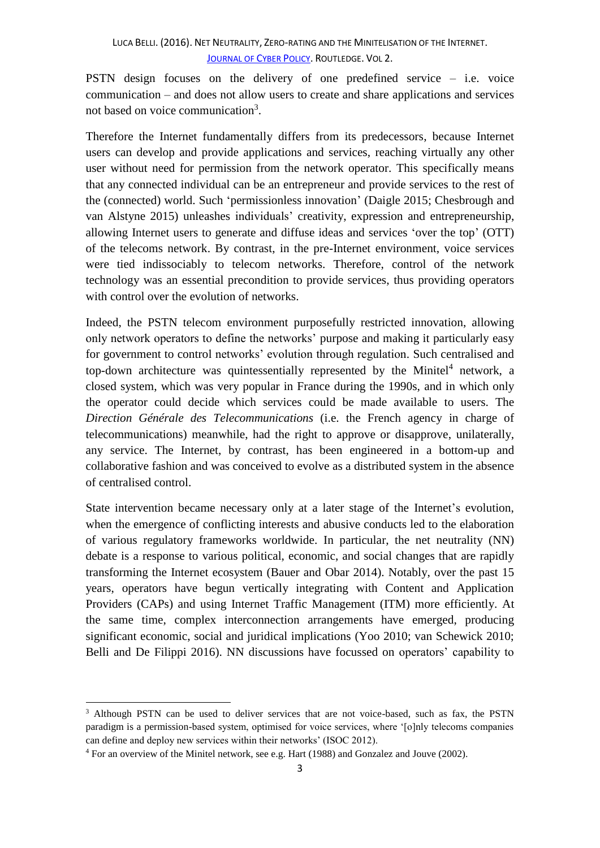PSTN design focuses on the delivery of one predefined service – i.e. voice communication – and does not allow users to create and share applications and services not based on voice communication<sup>3</sup>.

Therefore the Internet fundamentally differs from its predecessors, because Internet users can develop and provide applications and services, reaching virtually any other user without need for permission from the network operator. This specifically means that any connected individual can be an entrepreneur and provide services to the rest of the (connected) world. Such 'permissionless innovation' (Daigle 2015; Chesbrough and van Alstyne 2015) unleashes individuals' creativity, expression and entrepreneurship, allowing Internet users to generate and diffuse ideas and services 'over the top' (OTT) of the telecoms network. By contrast, in the pre-Internet environment, voice services were tied indissociably to telecom networks. Therefore, control of the network technology was an essential precondition to provide services, thus providing operators with control over the evolution of networks.

Indeed, the PSTN telecom environment purposefully restricted innovation, allowing only network operators to define the networks' purpose and making it particularly easy for government to control networks' evolution through regulation. Such centralised and top-down architecture was quintessentially represented by the Minitel<sup>4</sup> network, a closed system, which was very popular in France during the 1990s, and in which only the operator could decide which services could be made available to users. The *Direction Générale des Telecommunications* (i.e. the French agency in charge of telecommunications) meanwhile, had the right to approve or disapprove, unilaterally, any service. The Internet, by contrast, has been engineered in a bottom-up and collaborative fashion and was conceived to evolve as a distributed system in the absence of centralised control.

State intervention became necessary only at a later stage of the Internet's evolution, when the emergence of conflicting interests and abusive conducts led to the elaboration of various regulatory frameworks worldwide. In particular, the net neutrality (NN) debate is a response to various political, economic, and social changes that are rapidly transforming the Internet ecosystem (Bauer and Obar 2014). Notably, over the past 15 years, operators have begun vertically integrating with Content and Application Providers (CAPs) and using Internet Traffic Management (ITM) more efficiently. At the same time, complex interconnection arrangements have emerged, producing significant economic, social and juridical implications (Yoo 2010; van Schewick 2010; Belli and De Filippi 2016). NN discussions have focussed on operators' capability to

<sup>&</sup>lt;sup>3</sup> Although PSTN can be used to deliver services that are not voice-based, such as fax, the PSTN paradigm is a permission-based system, optimised for voice services, where '[o]nly telecoms companies can define and deploy new services within their networks' (ISOC 2012).

<sup>4</sup> For an overview of the Minitel network, see e.g. Hart (1988) and Gonzalez and Jouve (2002).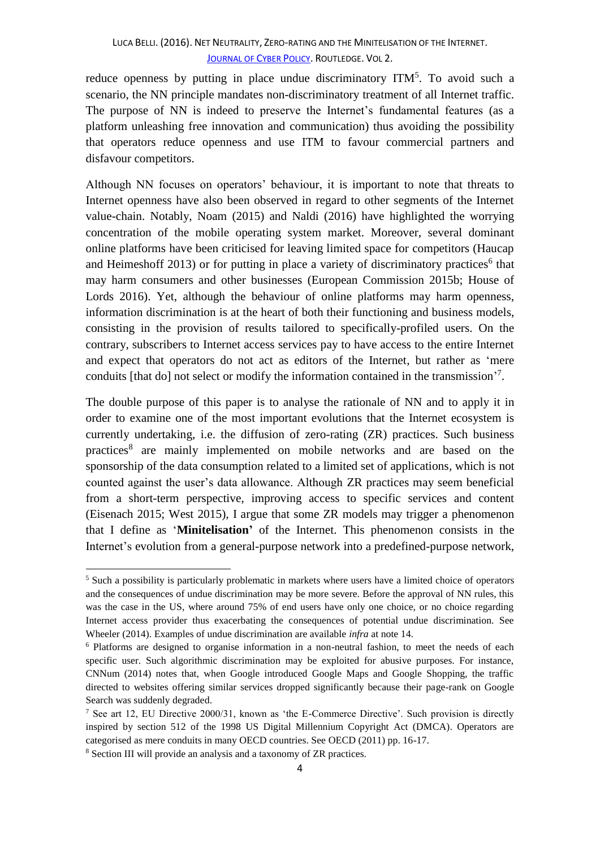reduce openness by putting in place undue discriminatory  $ITM<sup>5</sup>$ . To avoid such a scenario, the NN principle mandates non-discriminatory treatment of all Internet traffic. The purpose of NN is indeed to preserve the Internet's fundamental features (as a platform unleashing free innovation and communication) thus avoiding the possibility that operators reduce openness and use ITM to favour commercial partners and disfavour competitors.

Although NN focuses on operators' behaviour, it is important to note that threats to Internet openness have also been observed in regard to other segments of the Internet value-chain. Notably, Noam (2015) and Naldi (2016) have highlighted the worrying concentration of the mobile operating system market. Moreover, several dominant online platforms have been criticised for leaving limited space for competitors (Haucap and Heimeshoff 2013) or for putting in place a variety of discriminatory practices<sup>6</sup> that may harm consumers and other businesses (European Commission 2015b; House of Lords 2016). Yet, although the behaviour of online platforms may harm openness, information discrimination is at the heart of both their functioning and business models, consisting in the provision of results tailored to specifically-profiled users. On the contrary, subscribers to Internet access services pay to have access to the entire Internet and expect that operators do not act as editors of the Internet, but rather as 'mere conduits [that do] not select or modify the information contained in the transmission'<sup>7</sup>.

The double purpose of this paper is to analyse the rationale of NN and to apply it in order to examine one of the most important evolutions that the Internet ecosystem is currently undertaking, i.e. the diffusion of zero-rating (ZR) practices. Such business practices 8 are mainly implemented on mobile networks and are based on the sponsorship of the data consumption related to a limited set of applications, which is not counted against the user's data allowance. Although ZR practices may seem beneficial from a short-term perspective, improving access to specific services and content (Eisenach 2015; West 2015), I argue that some ZR models may trigger a phenomenon that I define as '**Minitelisation'** of the Internet. This phenomenon consists in the Internet's evolution from a general-purpose network into a predefined-purpose network,

1

<sup>5</sup> Such a possibility is particularly problematic in markets where users have a limited choice of operators and the consequences of undue discrimination may be more severe. Before the approval of NN rules, this was the case in the US, where around 75% of end users have only one choice, or no choice regarding Internet access provider thus exacerbating the consequences of potential undue discrimination. See Wheeler (2014). Examples of undue discrimination are available *infra* at note 14.

<sup>6</sup> Platforms are designed to organise information in a non-neutral fashion, to meet the needs of each specific user. Such algorithmic discrimination may be exploited for abusive purposes. For instance, CNNum (2014) notes that, when Google introduced Google Maps and Google Shopping, the traffic directed to websites offering similar services dropped significantly because their page-rank on Google Search was suddenly degraded.

<sup>7</sup> See art 12, EU Directive 2000/31, known as 'the E-Commerce Directive'. Such provision is directly inspired by section 512 of the 1998 US Digital Millennium Copyright Act (DMCA). Operators are categorised as mere conduits in many OECD countries. See OECD (2011) pp. 16-17.

<sup>8</sup> Section III will provide an analysis and a taxonomy of ZR practices.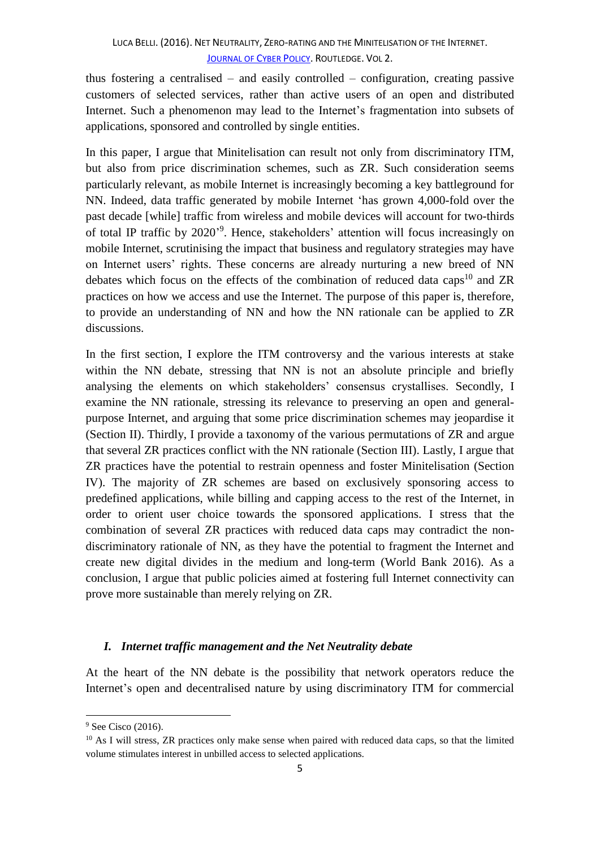thus fostering a centralised – and easily controlled – configuration, creating passive customers of selected services, rather than active users of an open and distributed Internet. Such a phenomenon may lead to the Internet's fragmentation into subsets of applications, sponsored and controlled by single entities.

In this paper, I argue that Minitelisation can result not only from discriminatory ITM, but also from price discrimination schemes, such as ZR. Such consideration seems particularly relevant, as mobile Internet is increasingly becoming a key battleground for NN. Indeed, data traffic generated by mobile Internet 'has grown 4,000-fold over the past decade [while] traffic from wireless and mobile devices will account for two-thirds of total IP traffic by 2020<sup>'9</sup>. Hence, stakeholders' attention will focus increasingly on mobile Internet, scrutinising the impact that business and regulatory strategies may have on Internet users' rights. These concerns are already nurturing a new breed of NN debates which focus on the effects of the combination of reduced data caps<sup>10</sup> and  $ZR$ practices on how we access and use the Internet. The purpose of this paper is, therefore, to provide an understanding of NN and how the NN rationale can be applied to ZR discussions.

In the first section, I explore the ITM controversy and the various interests at stake within the NN debate, stressing that NN is not an absolute principle and briefly analysing the elements on which stakeholders' consensus crystallises. Secondly, I examine the NN rationale, stressing its relevance to preserving an open and generalpurpose Internet, and arguing that some price discrimination schemes may jeopardise it (Section II). Thirdly, I provide a taxonomy of the various permutations of ZR and argue that several ZR practices conflict with the NN rationale (Section III). Lastly, I argue that ZR practices have the potential to restrain openness and foster Minitelisation (Section IV). The majority of ZR schemes are based on exclusively sponsoring access to predefined applications, while billing and capping access to the rest of the Internet, in order to orient user choice towards the sponsored applications. I stress that the combination of several ZR practices with reduced data caps may contradict the nondiscriminatory rationale of NN, as they have the potential to fragment the Internet and create new digital divides in the medium and long-term (World Bank 2016). As a conclusion, I argue that public policies aimed at fostering full Internet connectivity can prove more sustainable than merely relying on ZR.

# *I. Internet traffic management and the Net Neutrality debate*

At the heart of the NN debate is the possibility that network operators reduce the Internet's open and decentralised nature by using discriminatory ITM for commercial

1

<sup>&</sup>lt;sup>9</sup> See Cisco (2016).

 $10$  As I will stress, ZR practices only make sense when paired with reduced data caps, so that the limited volume stimulates interest in unbilled access to selected applications.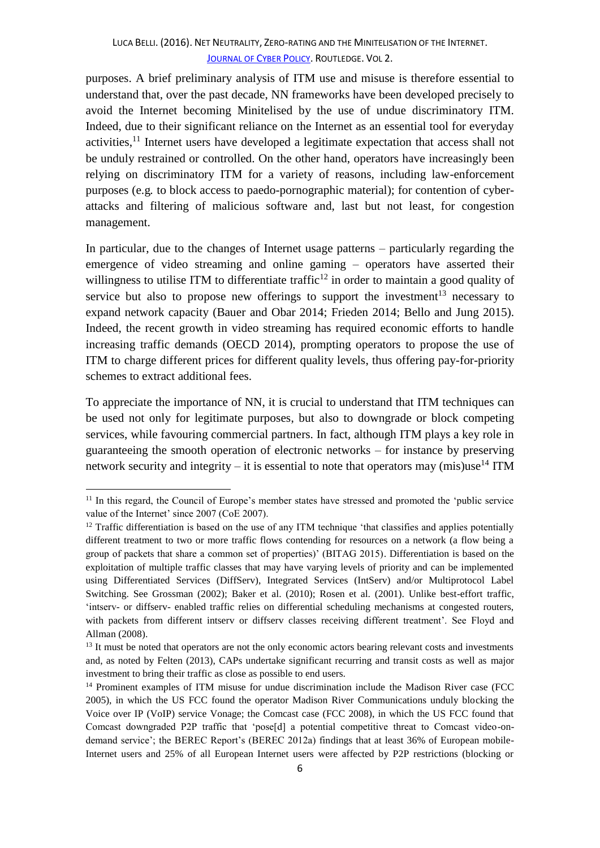purposes. A brief preliminary analysis of ITM use and misuse is therefore essential to understand that, over the past decade, NN frameworks have been developed precisely to avoid the Internet becoming Minitelised by the use of undue discriminatory ITM. Indeed, due to their significant reliance on the Internet as an essential tool for everyday activities,<sup>11</sup> Internet users have developed a legitimate expectation that access shall not be unduly restrained or controlled. On the other hand, operators have increasingly been relying on discriminatory ITM for a variety of reasons, including law-enforcement purposes (e.g*.* to block access to paedo-pornographic material); for contention of cyberattacks and filtering of malicious software and, last but not least, for congestion management.

In particular, due to the changes of Internet usage patterns – particularly regarding the emergence of video streaming and online gaming – operators have asserted their willingness to utilise ITM to differentiate traffic<sup>12</sup> in order to maintain a good quality of service but also to propose new offerings to support the investment<sup>13</sup> necessary to expand network capacity (Bauer and Obar 2014; Frieden 2014; Bello and Jung 2015). Indeed, the recent growth in video streaming has required economic efforts to handle increasing traffic demands (OECD 2014), prompting operators to propose the use of ITM to charge different prices for different quality levels, thus offering pay-for-priority schemes to extract additional fees.

To appreciate the importance of NN, it is crucial to understand that ITM techniques can be used not only for legitimate purposes, but also to downgrade or block competing services, while favouring commercial partners. In fact, although ITM plays a key role in guaranteeing the smooth operation of electronic networks – for instance by preserving network security and integrity – it is essential to note that operators may (mis)use<sup>14</sup> ITM

<sup>&</sup>lt;sup>11</sup> In this regard, the Council of Europe's member states have stressed and promoted the 'public service value of the Internet' since 2007 (CoE 2007).

 $12$  Traffic differentiation is based on the use of any ITM technique 'that classifies and applies potentially different treatment to two or more traffic flows contending for resources on a network (a flow being a group of packets that share a common set of properties)' (BITAG 2015). Differentiation is based on the exploitation of multiple traffic classes that may have varying levels of priority and can be implemented using Differentiated Services (DiffServ), Integrated Services (IntServ) and/or Multiprotocol Label Switching. See Grossman (2002); Baker et al. (2010); Rosen et al. (2001). Unlike best-effort traffic, 'intserv- or diffserv- enabled traffic relies on differential scheduling mechanisms at congested routers, with packets from different intserv or diffserv classes receiving different treatment'. See Floyd and Allman (2008).

<sup>&</sup>lt;sup>13</sup> It must be noted that operators are not the only economic actors bearing relevant costs and investments and, as noted by Felten (2013), CAPs undertake significant recurring and transit costs as well as major investment to bring their traffic as close as possible to end users.

<sup>&</sup>lt;sup>14</sup> Prominent examples of ITM misuse for undue discrimination include the Madison River case (FCC 2005), in which the US FCC found the operator Madison River Communications unduly blocking the Voice over IP (VoIP) service Vonage; the Comcast case (FCC 2008), in which the US FCC found that Comcast downgraded P2P traffic that 'pose[d] a potential competitive threat to Comcast video-ondemand service'; the BEREC Report's (BEREC 2012a) findings that at least 36% of European mobile-Internet users and 25% of all European Internet users were affected by P2P restrictions (blocking or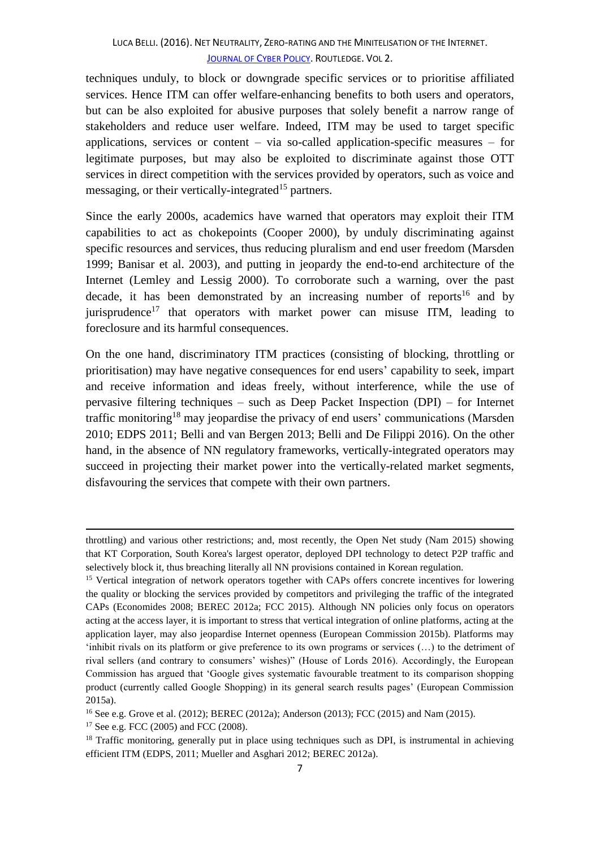techniques unduly, to block or downgrade specific services or to prioritise affiliated services. Hence ITM can offer welfare-enhancing benefits to both users and operators, but can be also exploited for abusive purposes that solely benefit a narrow range of stakeholders and reduce user welfare. Indeed, ITM may be used to target specific applications, services or content – via so-called application-specific measures – for legitimate purposes, but may also be exploited to discriminate against those OTT services in direct competition with the services provided by operators, such as voice and messaging, or their vertically-integrated<sup>15</sup> partners.

Since the early 2000s, academics have warned that operators may exploit their ITM capabilities to act as chokepoints (Cooper 2000), by unduly discriminating against specific resources and services, thus reducing pluralism and end user freedom (Marsden 1999; Banisar et al. 2003), and putting in jeopardy the end-to-end architecture of the Internet (Lemley and Lessig 2000). To corroborate such a warning, over the past decade, it has been demonstrated by an increasing number of reports<sup>16</sup> and by jurisprudence<sup>17</sup> that operators with market power can misuse ITM, leading to foreclosure and its harmful consequences.

On the one hand, discriminatory ITM practices (consisting of blocking, throttling or prioritisation) may have negative consequences for end users' capability to seek, impart and receive information and ideas freely, without interference, while the use of pervasive filtering techniques – such as Deep Packet Inspection (DPI) – for Internet traffic monitoring<sup>18</sup> may jeopardise the privacy of end users' communications (Marsden 2010; EDPS 2011; Belli and van Bergen 2013; Belli and De Filippi 2016). On the other hand, in the absence of NN regulatory frameworks, vertically-integrated operators may succeed in projecting their market power into the vertically-related market segments, disfavouring the services that compete with their own partners.

throttling) and various other restrictions; and, most recently, the Open Net study (Nam 2015) showing that KT Corporation, South Korea's largest operator, deployed DPI technology to detect P2P traffic and selectively block it, thus breaching literally all NN provisions contained in Korean regulation.

<sup>&</sup>lt;sup>15</sup> Vertical integration of network operators together with CAPs offers concrete incentives for lowering the quality or blocking the services provided by competitors and privileging the traffic of the integrated CAPs (Economides 2008; BEREC 2012a; FCC 2015). Although NN policies only focus on operators acting at the access layer, it is important to stress that vertical integration of online platforms, acting at the application layer, may also jeopardise Internet openness (European Commission 2015b). Platforms may 'inhibit rivals on its platform or give preference to its own programs or services (…) to the detriment of rival sellers (and contrary to consumers' wishes)" (House of Lords 2016). Accordingly, the European Commission has argued that 'Google gives systematic favourable treatment to its comparison shopping product (currently called Google Shopping) in its general search results pages' (European Commission 2015a).

<sup>16</sup> See e.g. Grove et al. (2012); BEREC (2012a); Anderson (2013); FCC (2015) and Nam (2015).

<sup>&</sup>lt;sup>17</sup> See e.g. FCC (2005) and FCC (2008).

 $18$  Traffic monitoring, generally put in place using techniques such as DPI, is instrumental in achieving efficient ITM (EDPS, 2011; Mueller and Asghari 2012; BEREC 2012a).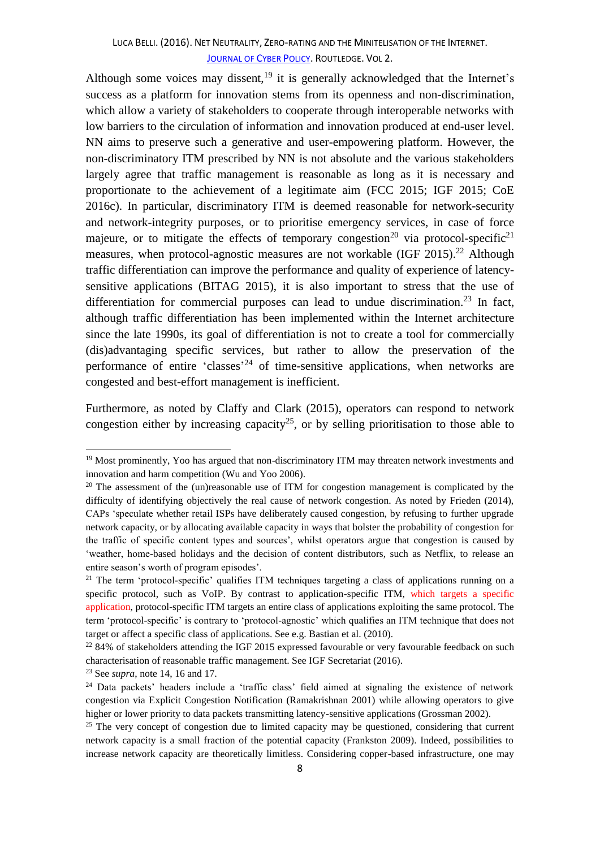Although some voices may dissent,  $19$  it is generally acknowledged that the Internet's success as a platform for innovation stems from its openness and non-discrimination, which allow a variety of stakeholders to cooperate through interoperable networks with low barriers to the circulation of information and innovation produced at end-user level. NN aims to preserve such a generative and user-empowering platform. However, the non-discriminatory ITM prescribed by NN is not absolute and the various stakeholders largely agree that traffic management is reasonable as long as it is necessary and proportionate to the achievement of a legitimate aim (FCC 2015; IGF 2015; CoE 2016c). In particular, discriminatory ITM is deemed reasonable for network-security and network-integrity purposes, or to prioritise emergency services, in case of force majeure, or to mitigate the effects of temporary congestion<sup>20</sup> via protocol-specific<sup>21</sup> measures, when protocol-agnostic measures are not workable (IGF 2015).<sup>22</sup> Although traffic differentiation can improve the performance and quality of experience of latencysensitive applications (BITAG 2015), it is also important to stress that the use of differentiation for commercial purposes can lead to undue discrimination.<sup>23</sup> In fact, although traffic differentiation has been implemented within the Internet architecture since the late 1990s, its goal of differentiation is not to create a tool for commercially (dis)advantaging specific services, but rather to allow the preservation of the performance of entire 'classes'<sup>24</sup> of time-sensitive applications, when networks are congested and best-effort management is inefficient.

Furthermore, as noted by Claffy and Clark (2015), operators can respond to network congestion either by increasing capacity<sup>25</sup>, or by selling prioritisation to those able to

<sup>&</sup>lt;sup>19</sup> Most prominently, Yoo has argued that non-discriminatory ITM may threaten network investments and innovation and harm competition (Wu and Yoo 2006).

 $20$  The assessment of the (un)reasonable use of ITM for congestion management is complicated by the difficulty of identifying objectively the real cause of network congestion. As noted by Frieden (2014), CAPs 'speculate whether retail ISPs have deliberately caused congestion, by refusing to further upgrade network capacity, or by allocating available capacity in ways that bolster the probability of congestion for the traffic of specific content types and sources', whilst operators argue that congestion is caused by 'weather, home-based holidays and the decision of content distributors, such as Netflix, to release an entire season's worth of program episodes'.

 $21$  The term 'protocol-specific' qualifies ITM techniques targeting a class of applications running on a specific protocol, such as VoIP. By contrast to application-specific ITM, which targets a specific application, protocol-specific ITM targets an entire class of applications exploiting the same protocol. The term 'protocol-specific' is contrary to 'protocol-agnostic' which qualifies an ITM technique that does not target or affect a specific class of applications. See e.g. Bastian et al. (2010).

 $^{22}$  84% of stakeholders attending the IGF 2015 expressed favourable or very favourable feedback on such characterisation of reasonable traffic management. See IGF Secretariat (2016).

<sup>23</sup> See *supra*, note 14, 16 and 17.

<sup>&</sup>lt;sup>24</sup> Data packets' headers include a 'traffic class' field aimed at signaling the existence of network congestion via Explicit Congestion Notification (Ramakrishnan 2001) while allowing operators to give higher or lower priority to data packets transmitting latency-sensitive applications (Grossman 2002).

<sup>&</sup>lt;sup>25</sup> The very concept of congestion due to limited capacity may be questioned, considering that current network capacity is a small fraction of the potential capacity (Frankston 2009). Indeed, possibilities to increase network capacity are theoretically limitless. Considering copper-based infrastructure, one may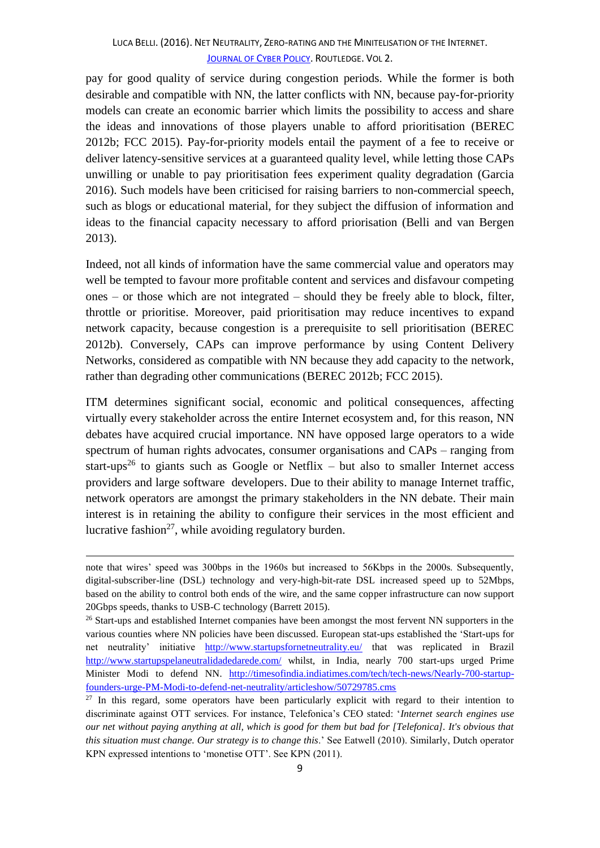pay for good quality of service during congestion periods. While the former is both desirable and compatible with NN, the latter conflicts with NN, because pay-for-priority models can create an economic barrier which limits the possibility to access and share the ideas and innovations of those players unable to afford prioritisation (BEREC 2012b; FCC 2015). Pay-for-priority models entail the payment of a fee to receive or deliver latency-sensitive services at a guaranteed quality level, while letting those CAPs unwilling or unable to pay prioritisation fees experiment quality degradation (Garcia 2016). Such models have been criticised for raising barriers to non-commercial speech, such as blogs or educational material, for they subject the diffusion of information and ideas to the financial capacity necessary to afford priorisation (Belli and van Bergen 2013).

Indeed, not all kinds of information have the same commercial value and operators may well be tempted to favour more profitable content and services and disfavour competing ones – or those which are not integrated – should they be freely able to block, filter, throttle or prioritise. Moreover, paid prioritisation may reduce incentives to expand network capacity, because congestion is a prerequisite to sell prioritisation (BEREC 2012b). Conversely, CAPs can improve performance by using Content Delivery Networks, considered as compatible with NN because they add capacity to the network, rather than degrading other communications (BEREC 2012b; FCC 2015).

ITM determines significant social, economic and political consequences, affecting virtually every stakeholder across the entire Internet ecosystem and, for this reason, NN debates have acquired crucial importance. NN have opposed large operators to a wide spectrum of human rights advocates, consumer organisations and CAPs – ranging from start-ups<sup>26</sup> to giants such as Google or Netflix – but also to smaller Internet access providers and large software developers. Due to their ability to manage Internet traffic, network operators are amongst the primary stakeholders in the NN debate. Their main interest is in retaining the ability to configure their services in the most efficient and lucrative fashion<sup>27</sup>, while avoiding regulatory burden.

note that wires' speed was 300bps in the 1960s but increased to 56Kbps in the 2000s. Subsequently, digital-subscriber-line (DSL) technology and very-high-bit-rate DSL increased speed up to 52Mbps, based on the ability to control both ends of the wire, and the same copper infrastructure can now support 20Gbps speeds, thanks to USB-C technology (Barrett 2015).

<sup>&</sup>lt;sup>26</sup> Start-ups and established Internet companies have been amongst the most fervent NN supporters in the various counties where NN policies have been discussed. European stat-ups established the 'Start-ups for net neutrality' initiative <http://www.startupsfornetneutrality.eu/> that was replicated in Brazil <http://www.startupspelaneutralidadedarede.com/> whilst, in India, nearly 700 start-ups urged Prime Minister Modi to defend NN. [http://timesofindia.indiatimes.com/tech/tech-news/Nearly-700-startup](http://timesofindia.indiatimes.com/tech/tech-news/Nearly-700-startup-founders-urge-PM-Modi-to-defend-net-neutrality/articleshow/50729785.cms)[founders-urge-PM-Modi-to-defend-net-neutrality/articleshow/50729785.cms](http://timesofindia.indiatimes.com/tech/tech-news/Nearly-700-startup-founders-urge-PM-Modi-to-defend-net-neutrality/articleshow/50729785.cms)

 $27$  In this regard, some operators have been particularly explicit with regard to their intention to discriminate against OTT services. For instance, Telefonica's CEO stated: '*Internet search engines use our net without paying anything at all, which is good for them but bad for [Telefonica]. It's obvious that this situation must change. Our strategy is to change this*.' See Eatwell (2010). Similarly, Dutch operator KPN expressed intentions to 'monetise OTT'. See KPN (2011).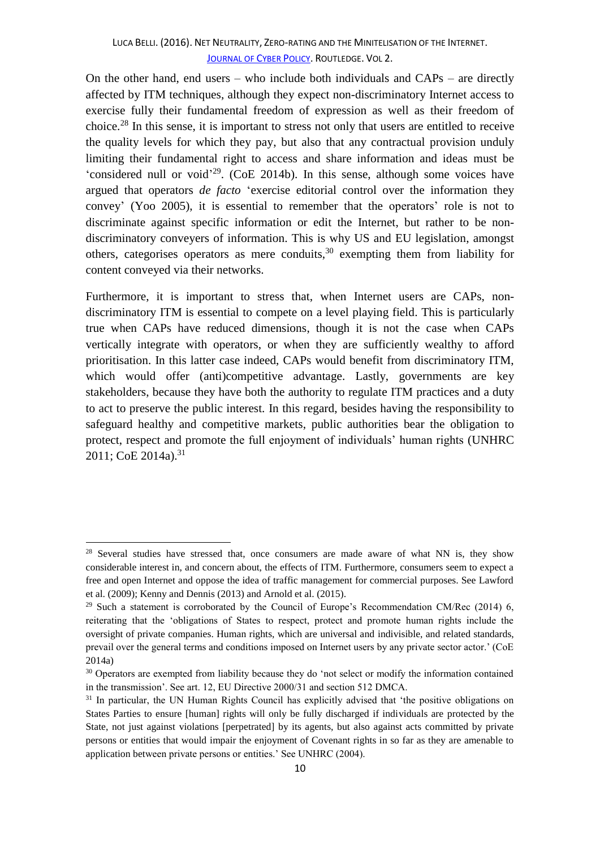On the other hand, end users – who include both individuals and CAPs – are directly affected by ITM techniques, although they expect non-discriminatory Internet access to exercise fully their fundamental freedom of expression as well as their freedom of choice.<sup>28</sup> In this sense, it is important to stress not only that users are entitled to receive the quality levels for which they pay, but also that any contractual provision unduly limiting their fundamental right to access and share information and ideas must be 'considered null or void<sup>'29</sup>. (CoE 2014b). In this sense, although some voices have argued that operators *de facto* 'exercise editorial control over the information they convey' (Yoo 2005), it is essential to remember that the operators' role is not to discriminate against specific information or edit the Internet, but rather to be nondiscriminatory conveyers of information. This is why US and EU legislation, amongst others, categorises operators as mere conduits,  $30$  exempting them from liability for content conveyed via their networks.

Furthermore, it is important to stress that, when Internet users are CAPs, nondiscriminatory ITM is essential to compete on a level playing field. This is particularly true when CAPs have reduced dimensions, though it is not the case when CAPs vertically integrate with operators, or when they are sufficiently wealthy to afford prioritisation. In this latter case indeed, CAPs would benefit from discriminatory ITM, which would offer (anti)competitive advantage. Lastly, governments are key stakeholders, because they have both the authority to regulate ITM practices and a duty to act to preserve the public interest. In this regard, besides having the responsibility to safeguard healthy and competitive markets, public authorities bear the obligation to protect, respect and promote the full enjoyment of individuals' human rights (UNHRC 2011; CoE 2014a). 31

<sup>&</sup>lt;sup>28</sup> Several studies have stressed that, once consumers are made aware of what NN is, they show considerable interest in, and concern about, the effects of ITM. Furthermore, consumers seem to expect a free and open Internet and oppose the idea of traffic management for commercial purposes. See Lawford et al. (2009); Kenny and Dennis (2013) and Arnold et al. (2015).

<sup>&</sup>lt;sup>29</sup> Such a statement is corroborated by the Council of Europe's Recommendation CM/Rec (2014) 6, reiterating that the 'obligations of States to respect, protect and promote human rights include the oversight of private companies. Human rights, which are universal and indivisible, and related standards, prevail over the general terms and conditions imposed on Internet users by any private sector actor.' (CoE 2014a)

<sup>&</sup>lt;sup>30</sup> Operators are exempted from liability because they do 'not select or modify the information contained in the transmission'. See art. 12, EU Directive 2000/31 and section 512 DMCA.

<sup>&</sup>lt;sup>31</sup> In particular, the UN Human Rights Council has explicitly advised that 'the positive obligations on States Parties to ensure [human] rights will only be fully discharged if individuals are protected by the State, not just against violations [perpetrated] by its agents, but also against acts committed by private persons or entities that would impair the enjoyment of Covenant rights in so far as they are amenable to application between private persons or entities.' See UNHRC (2004).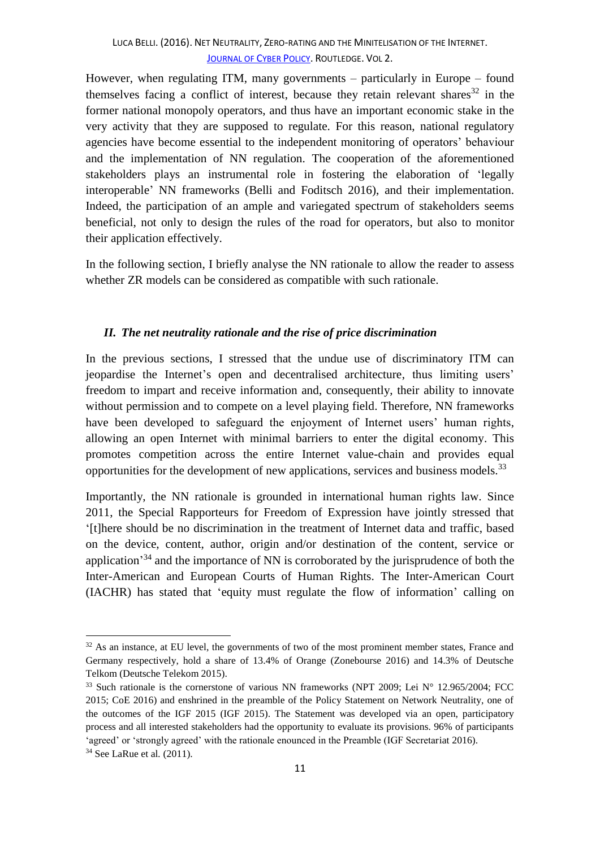However, when regulating ITM, many governments – particularly in Europe – found themselves facing a conflict of interest, because they retain relevant shares  $32$  in the former national monopoly operators, and thus have an important economic stake in the very activity that they are supposed to regulate. For this reason, national regulatory agencies have become essential to the independent monitoring of operators' behaviour and the implementation of NN regulation. The cooperation of the aforementioned stakeholders plays an instrumental role in fostering the elaboration of 'legally interoperable' NN frameworks (Belli and Foditsch 2016), and their implementation. Indeed, the participation of an ample and variegated spectrum of stakeholders seems beneficial, not only to design the rules of the road for operators, but also to monitor their application effectively.

In the following section, I briefly analyse the NN rationale to allow the reader to assess whether ZR models can be considered as compatible with such rationale.

## *II. The net neutrality rationale and the rise of price discrimination*

In the previous sections, I stressed that the undue use of discriminatory ITM can jeopardise the Internet's open and decentralised architecture, thus limiting users' freedom to impart and receive information and, consequently, their ability to innovate without permission and to compete on a level playing field. Therefore, NN frameworks have been developed to safeguard the enjoyment of Internet users' human rights, allowing an open Internet with minimal barriers to enter the digital economy. This promotes competition across the entire Internet value-chain and provides equal opportunities for the development of new applications, services and business models.<sup>33</sup>

Importantly, the NN rationale is grounded in international human rights law. Since 2011, the Special Rapporteurs for Freedom of Expression have jointly stressed that '[t]here should be no discrimination in the treatment of Internet data and traffic, based on the device, content, author, origin and/or destination of the content, service or application<sup>34</sup> and the importance of NN is corroborated by the jurisprudence of both the Inter-American and European Courts of Human Rights. The Inter-American Court (IACHR) has stated that 'equity must regulate the flow of information' calling on

<sup>&</sup>lt;sup>32</sup> As an instance, at EU level, the governments of two of the most prominent member states, France and Germany respectively, hold a share of 13.4% of Orange (Zonebourse 2016) and 14.3% of Deutsche Telkom (Deutsche Telekom 2015).

<sup>33</sup> Such rationale is the cornerstone of various NN frameworks (NPT 2009; Lei N° 12.965/2004; FCC 2015; CoE 2016) and enshrined in the preamble of the Policy Statement on Network Neutrality, one of the outcomes of the IGF 2015 (IGF 2015). The Statement was developed via an open, participatory process and all interested stakeholders had the opportunity to evaluate its provisions. 96% of participants 'agreed' or 'strongly agreed' with the rationale enounced in the Preamble (IGF Secretariat 2016). <sup>34</sup> See LaRue et al*.* (2011).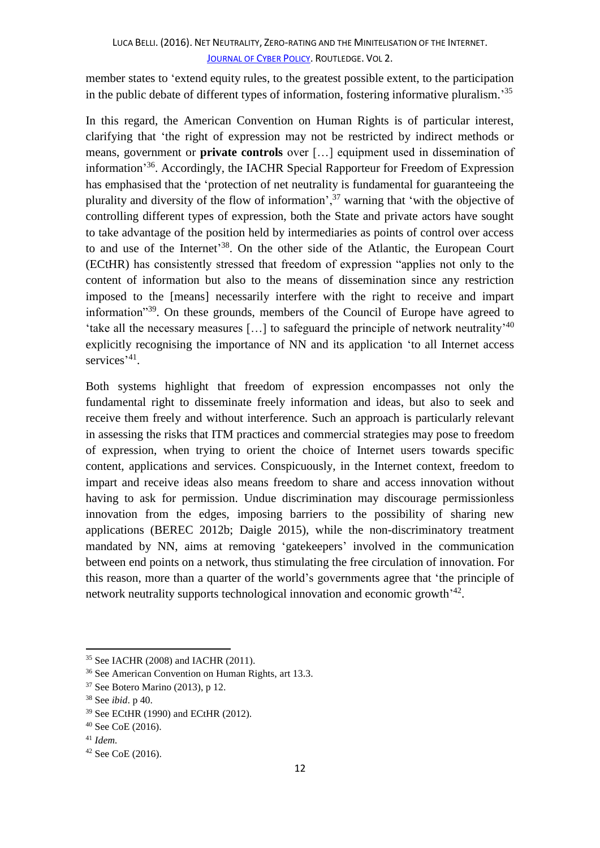member states to 'extend equity rules, to the greatest possible extent, to the participation in the public debate of different types of information, fostering informative pluralism.<sup>35</sup>

In this regard, the American Convention on Human Rights is of particular interest, clarifying that 'the right of expression may not be restricted by indirect methods or means, government or **private controls** over […] equipment used in dissemination of information<sup>356</sup>. Accordingly, the IACHR Special Rapporteur for Freedom of Expression has emphasised that the 'protection of net neutrality is fundamental for guaranteeing the plurality and diversity of the flow of information',  $37$  warning that 'with the objective of controlling different types of expression, both the State and private actors have sought to take advantage of the position held by intermediaries as points of control over access to and use of the Internet<sup>'38</sup>. On the other side of the Atlantic, the European Court (ECtHR) has consistently stressed that freedom of expression "applies not only to the content of information but also to the means of dissemination since any restriction imposed to the [means] necessarily interfere with the right to receive and impart information<sup>339</sup>. On these grounds, members of the Council of Europe have agreed to 'take all the necessary measures [...] to safeguard the principle of network neutrality<sup>240</sup> explicitly recognising the importance of NN and its application 'to all Internet access services<sup>'41</sup>.

Both systems highlight that freedom of expression encompasses not only the fundamental right to disseminate freely information and ideas, but also to seek and receive them freely and without interference. Such an approach is particularly relevant in assessing the risks that ITM practices and commercial strategies may pose to freedom of expression, when trying to orient the choice of Internet users towards specific content, applications and services. Conspicuously, in the Internet context, freedom to impart and receive ideas also means freedom to share and access innovation without having to ask for permission. Undue discrimination may discourage permissionless innovation from the edges, imposing barriers to the possibility of sharing new applications (BEREC 2012b; Daigle 2015), while the non-discriminatory treatment mandated by NN, aims at removing 'gatekeepers' involved in the communication between end points on a network, thus stimulating the free circulation of innovation. For this reason, more than a quarter of the world's governments agree that 'the principle of network neutrality supports technological innovation and economic growth<sup>'42</sup>.

<sup>35</sup> See IACHR (2008) and IACHR (2011).

<sup>36</sup> See American Convention on Human Rights, art 13.3.

<sup>37</sup> See Botero Marino (2013), p 12.

<sup>38</sup> See *ibid*. p 40.

<sup>39</sup> See ECtHR (1990) and ECtHR (2012).

<sup>40</sup> See CoE (2016).

<sup>41</sup> *Idem.*

<sup>42</sup> See CoE (2016).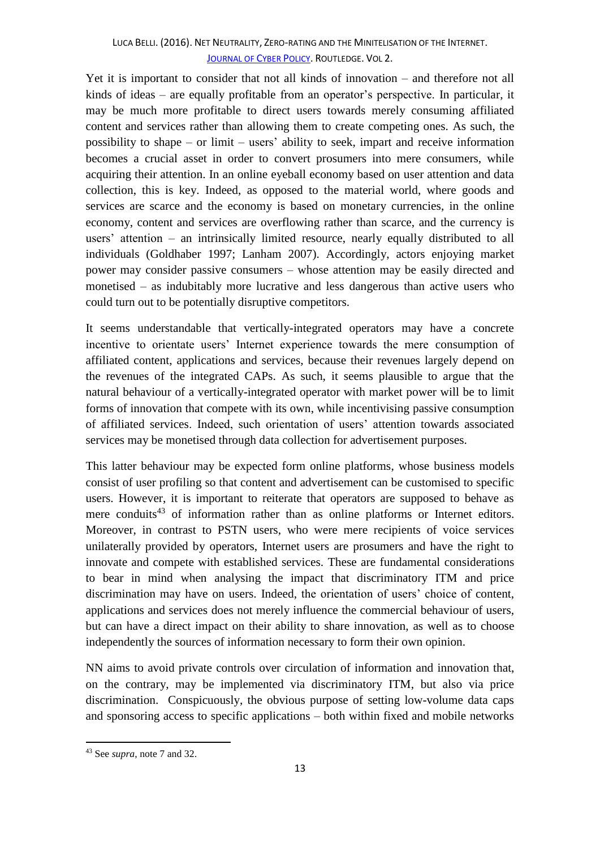Yet it is important to consider that not all kinds of innovation – and therefore not all kinds of ideas – are equally profitable from an operator's perspective. In particular, it may be much more profitable to direct users towards merely consuming affiliated content and services rather than allowing them to create competing ones. As such, the possibility to shape – or limit – users' ability to seek, impart and receive information becomes a crucial asset in order to convert prosumers into mere consumers, while acquiring their attention. In an online eyeball economy based on user attention and data collection, this is key. Indeed, as opposed to the material world, where goods and services are scarce and the economy is based on monetary currencies, in the online economy, content and services are overflowing rather than scarce, and the currency is users' attention – an intrinsically limited resource, nearly equally distributed to all individuals (Goldhaber 1997; Lanham 2007). Accordingly, actors enjoying market power may consider passive consumers – whose attention may be easily directed and monetised – as indubitably more lucrative and less dangerous than active users who could turn out to be potentially disruptive competitors.

It seems understandable that vertically-integrated operators may have a concrete incentive to orientate users' Internet experience towards the mere consumption of affiliated content, applications and services, because their revenues largely depend on the revenues of the integrated CAPs. As such, it seems plausible to argue that the natural behaviour of a vertically-integrated operator with market power will be to limit forms of innovation that compete with its own, while incentivising passive consumption of affiliated services. Indeed, such orientation of users' attention towards associated services may be monetised through data collection for advertisement purposes.

This latter behaviour may be expected form online platforms, whose business models consist of user profiling so that content and advertisement can be customised to specific users. However, it is important to reiterate that operators are supposed to behave as mere conduits<sup>43</sup> of information rather than as online platforms or Internet editors. Moreover, in contrast to PSTN users, who were mere recipients of voice services unilaterally provided by operators, Internet users are prosumers and have the right to innovate and compete with established services. These are fundamental considerations to bear in mind when analysing the impact that discriminatory ITM and price discrimination may have on users. Indeed, the orientation of users' choice of content, applications and services does not merely influence the commercial behaviour of users, but can have a direct impact on their ability to share innovation, as well as to choose independently the sources of information necessary to form their own opinion.

NN aims to avoid private controls over circulation of information and innovation that, on the contrary, may be implemented via discriminatory ITM, but also via price discrimination. Conspicuously, the obvious purpose of setting low-volume data caps and sponsoring access to specific applications – both within fixed and mobile networks

<sup>43</sup> See *supra*, note 7 and 32.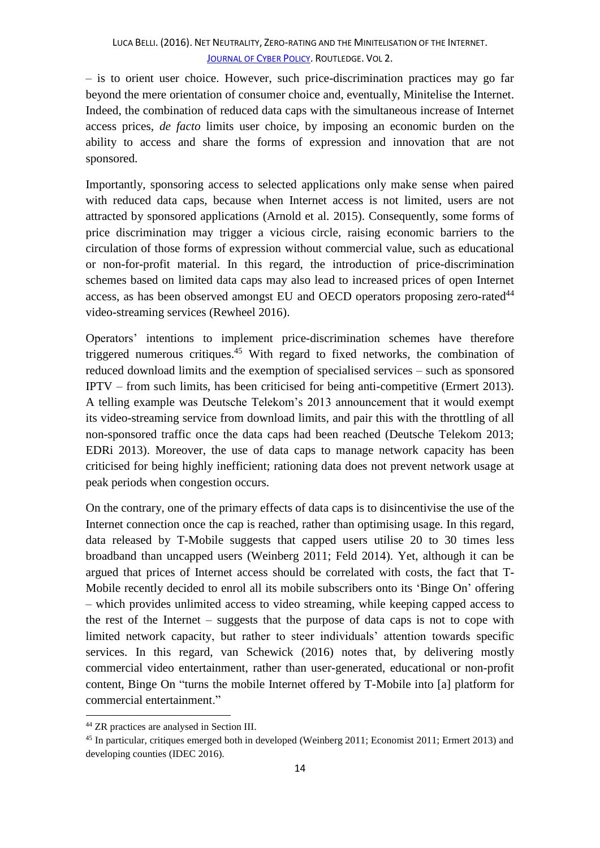– is to orient user choice. However, such price-discrimination practices may go far beyond the mere orientation of consumer choice and, eventually, Minitelise the Internet. Indeed, the combination of reduced data caps with the simultaneous increase of Internet access prices, *de facto* limits user choice, by imposing an economic burden on the ability to access and share the forms of expression and innovation that are not sponsored.

Importantly, sponsoring access to selected applications only make sense when paired with reduced data caps, because when Internet access is not limited, users are not attracted by sponsored applications (Arnold et al*.* 2015). Consequently, some forms of price discrimination may trigger a vicious circle, raising economic barriers to the circulation of those forms of expression without commercial value, such as educational or non-for-profit material. In this regard, the introduction of price-discrimination schemes based on limited data caps may also lead to increased prices of open Internet access, as has been observed amongst EU and OECD operators proposing zero-rated<sup>44</sup> video-streaming services (Rewheel 2016).

Operators' intentions to implement price-discrimination schemes have therefore triggered numerous critiques.<sup>45</sup> With regard to fixed networks, the combination of reduced download limits and the exemption of specialised services – such as sponsored IPTV – from such limits, has been criticised for being anti-competitive (Ermert 2013). A telling example was Deutsche Telekom's 2013 announcement that it would exempt its video-streaming service from download limits, and pair this with the throttling of all non-sponsored traffic once the data caps had been reached (Deutsche Telekom 2013; EDRi 2013). Moreover, the use of data caps to manage network capacity has been criticised for being highly inefficient; rationing data does not prevent network usage at peak periods when congestion occurs.

On the contrary, one of the primary effects of data caps is to disincentivise the use of the Internet connection once the cap is reached, rather than optimising usage. In this regard, data released by T-Mobile suggests that capped users utilise 20 to 30 times less broadband than uncapped users (Weinberg 2011; Feld 2014). Yet, although it can be argued that prices of Internet access should be correlated with costs, the fact that T-Mobile recently decided to enrol all its mobile subscribers onto its 'Binge On' offering – which provides unlimited access to video streaming, while keeping capped access to the rest of the Internet – suggests that the purpose of data caps is not to cope with limited network capacity, but rather to steer individuals' attention towards specific services. In this regard, van Schewick (2016) notes that, by delivering mostly commercial video entertainment, rather than user-generated, educational or non-profit content, Binge On "turns the mobile Internet offered by T-Mobile into [a] platform for commercial entertainment."

1

<sup>44</sup> ZR practices are analysed in Section III.

<sup>&</sup>lt;sup>45</sup> In particular, critiques emerged both in developed (Weinberg 2011; Economist 2011; Ermert 2013) and developing counties (IDEC 2016).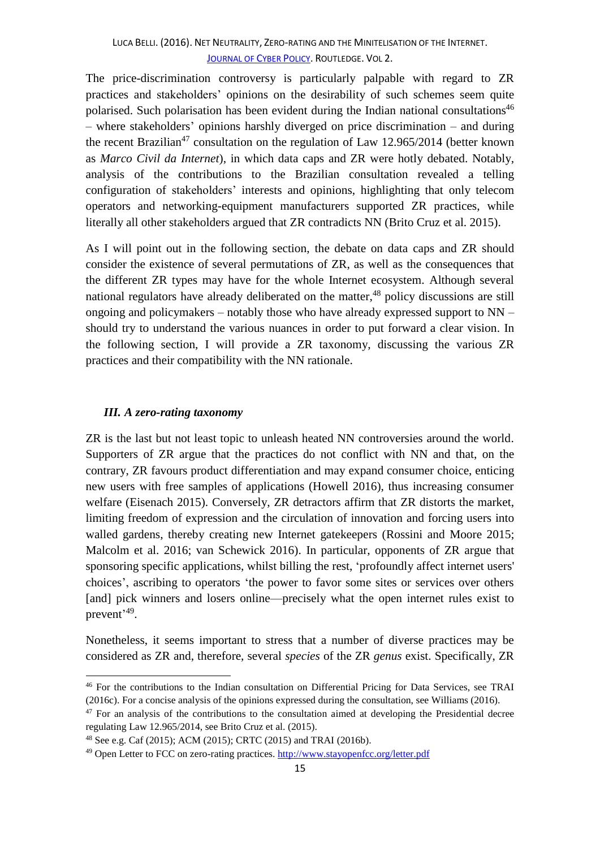The price-discrimination controversy is particularly palpable with regard to ZR practices and stakeholders' opinions on the desirability of such schemes seem quite polarised. Such polarisation has been evident during the Indian national consultations<sup>46</sup> – where stakeholders' opinions harshly diverged on price discrimination – and during the recent Brazilian<sup>47</sup> consultation on the regulation of Law 12.965/2014 (better known as *Marco Civil da Internet*), in which data caps and ZR were hotly debated. Notably, analysis of the contributions to the Brazilian consultation revealed a telling configuration of stakeholders' interests and opinions, highlighting that only telecom operators and networking-equipment manufacturers supported ZR practices, while literally all other stakeholders argued that ZR contradicts NN (Brito Cruz et al. 2015).

As I will point out in the following section, the debate on data caps and ZR should consider the existence of several permutations of ZR, as well as the consequences that the different ZR types may have for the whole Internet ecosystem. Although several national regulators have already deliberated on the matter,<sup>48</sup> policy discussions are still ongoing and policymakers – notably those who have already expressed support to NN – should try to understand the various nuances in order to put forward a clear vision. In the following section, I will provide a ZR taxonomy, discussing the various ZR practices and their compatibility with the NN rationale.

## *III. A zero-rating taxonomy*

**.** 

ZR is the last but not least topic to unleash heated NN controversies around the world. Supporters of ZR argue that the practices do not conflict with NN and that, on the contrary, ZR favours product differentiation and may expand consumer choice, enticing new users with free samples of applications (Howell 2016), thus increasing consumer welfare (Eisenach 2015). Conversely, ZR detractors affirm that ZR distorts the market, limiting freedom of expression and the circulation of innovation and forcing users into walled gardens, thereby creating new Internet gatekeepers (Rossini and Moore 2015; Malcolm et al. 2016; van Schewick 2016). In particular, opponents of ZR argue that sponsoring specific applications, whilst billing the rest, 'profoundly affect internet users' choices', ascribing to operators 'the power to favor some sites or services over others [and] pick winners and losers online—precisely what the open internet rules exist to prevent<sup>'49</sup>.

Nonetheless, it seems important to stress that a number of diverse practices may be considered as ZR and, therefore, several *species* of the ZR *genus* exist. Specifically, ZR

<sup>46</sup> For the contributions to the Indian consultation on Differential Pricing for Data Services, see TRAI (2016c). For a concise analysis of the opinions expressed during the consultation, see Williams (2016).

 $47$  For an analysis of the contributions to the consultation aimed at developing the Presidential decree regulating Law 12.965/2014, see Brito Cruz et al. (2015).

<sup>48</sup> See e.g. Caf (2015); ACM (2015); CRTC (2015) and TRAI (2016b).

<sup>&</sup>lt;sup>49</sup> Open Letter to FCC on zero-rating practices[. http://www.stayopenfcc.org/letter.pdf](http://www.stayopenfcc.org/letter.pdf)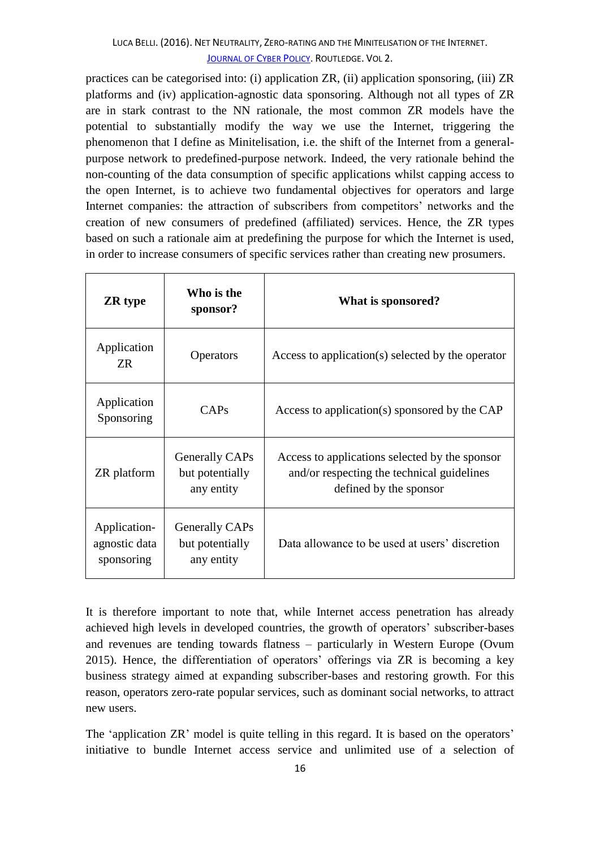practices can be categorised into: (i) application ZR, (ii) application sponsoring, (iii) ZR platforms and (iv) application-agnostic data sponsoring. Although not all types of ZR are in stark contrast to the NN rationale, the most common ZR models have the potential to substantially modify the way we use the Internet, triggering the phenomenon that I define as Minitelisation, i.e. the shift of the Internet from a generalpurpose network to predefined-purpose network. Indeed, the very rationale behind the non-counting of the data consumption of specific applications whilst capping access to the open Internet, is to achieve two fundamental objectives for operators and large Internet companies: the attraction of subscribers from competitors' networks and the creation of new consumers of predefined (affiliated) services. Hence, the ZR types based on such a rationale aim at predefining the purpose for which the Internet is used, in order to increase consumers of specific services rather than creating new prosumers.

| <b>ZR</b> type                              | Who is the<br>sponsor?                          | What is sponsored?                                                                                                     |
|---------------------------------------------|-------------------------------------------------|------------------------------------------------------------------------------------------------------------------------|
| Application<br>ZR                           | <b>Operators</b>                                | Access to application(s) selected by the operator                                                                      |
| Application<br>Sponsoring                   | CAPs                                            | Access to application(s) sponsored by the CAP                                                                          |
| <b>ZR</b> platform                          | Generally CAPs<br>but potentially<br>any entity | Access to applications selected by the sponsor<br>and/or respecting the technical guidelines<br>defined by the sponsor |
| Application-<br>agnostic data<br>sponsoring | Generally CAPs<br>but potentially<br>any entity | Data allowance to be used at users' discretion                                                                         |

It is therefore important to note that, while Internet access penetration has already achieved high levels in developed countries, the growth of operators' subscriber-bases and revenues are tending towards flatness – particularly in Western Europe (Ovum 2015). Hence, the differentiation of operators' offerings via ZR is becoming a key business strategy aimed at expanding subscriber-bases and restoring growth. For this reason, operators zero-rate popular services, such as dominant social networks, to attract new users.

The 'application ZR' model is quite telling in this regard. It is based on the operators' initiative to bundle Internet access service and unlimited use of a selection of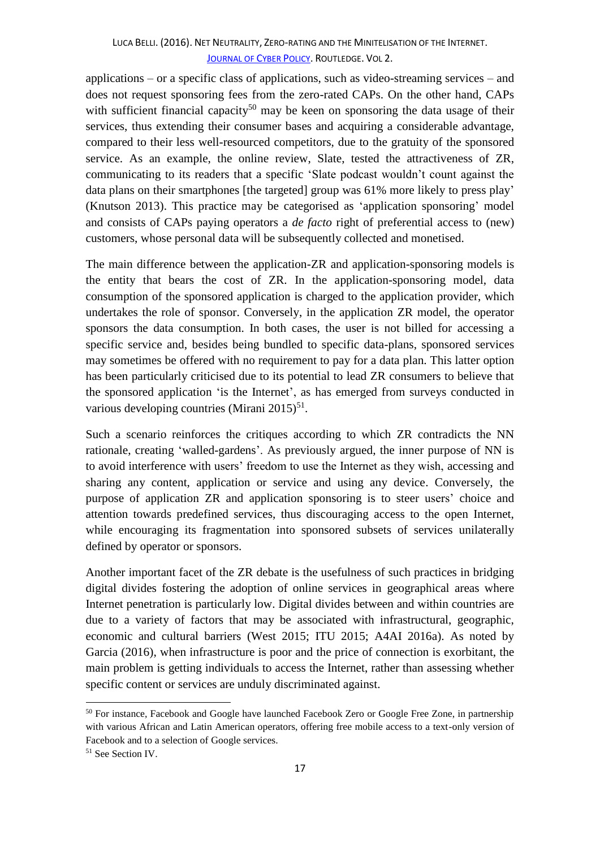applications – or a specific class of applications, such as video-streaming services – and does not request sponsoring fees from the zero-rated CAPs. On the other hand, CAPs with sufficient financial capacity<sup>50</sup> may be keen on sponsoring the data usage of their services, thus extending their consumer bases and acquiring a considerable advantage, compared to their less well-resourced competitors, due to the gratuity of the sponsored service. As an example, the online review, Slate, tested the attractiveness of ZR, communicating to its readers that a specific 'Slate podcast wouldn't count against the data plans on their smartphones [the targeted] group was 61% more likely to press play' (Knutson 2013). This practice may be categorised as 'application sponsoring' model and consists of CAPs paying operators a *de facto* right of preferential access to (new) customers, whose personal data will be subsequently collected and monetised.

The main difference between the application-ZR and application-sponsoring models is the entity that bears the cost of ZR. In the application-sponsoring model, data consumption of the sponsored application is charged to the application provider, which undertakes the role of sponsor. Conversely, in the application ZR model, the operator sponsors the data consumption. In both cases, the user is not billed for accessing a specific service and, besides being bundled to specific data-plans, sponsored services may sometimes be offered with no requirement to pay for a data plan. This latter option has been particularly criticised due to its potential to lead ZR consumers to believe that the sponsored application 'is the Internet', as has emerged from surveys conducted in various developing countries (Mirani 2015)<sup>51</sup>.

Such a scenario reinforces the critiques according to which ZR contradicts the NN rationale, creating 'walled-gardens'. As previously argued, the inner purpose of NN is to avoid interference with users' freedom to use the Internet as they wish, accessing and sharing any content, application or service and using any device. Conversely, the purpose of application ZR and application sponsoring is to steer users' choice and attention towards predefined services, thus discouraging access to the open Internet, while encouraging its fragmentation into sponsored subsets of services unilaterally defined by operator or sponsors.

Another important facet of the ZR debate is the usefulness of such practices in bridging digital divides fostering the adoption of online services in geographical areas where Internet penetration is particularly low. Digital divides between and within countries are due to a variety of factors that may be associated with infrastructural, geographic, economic and cultural barriers (West 2015; ITU 2015; A4AI 2016a). As noted by Garcia (2016), when infrastructure is poor and the price of connection is exorbitant, the main problem is getting individuals to access the Internet, rather than assessing whether specific content or services are unduly discriminated against.

<sup>&</sup>lt;sup>50</sup> For instance, Facebook and Google have launched Facebook Zero or Google Free Zone, in partnership with various African and Latin American operators, offering free mobile access to a text-only version of Facebook and to a selection of Google services.

<sup>&</sup>lt;sup>51</sup> See Section IV.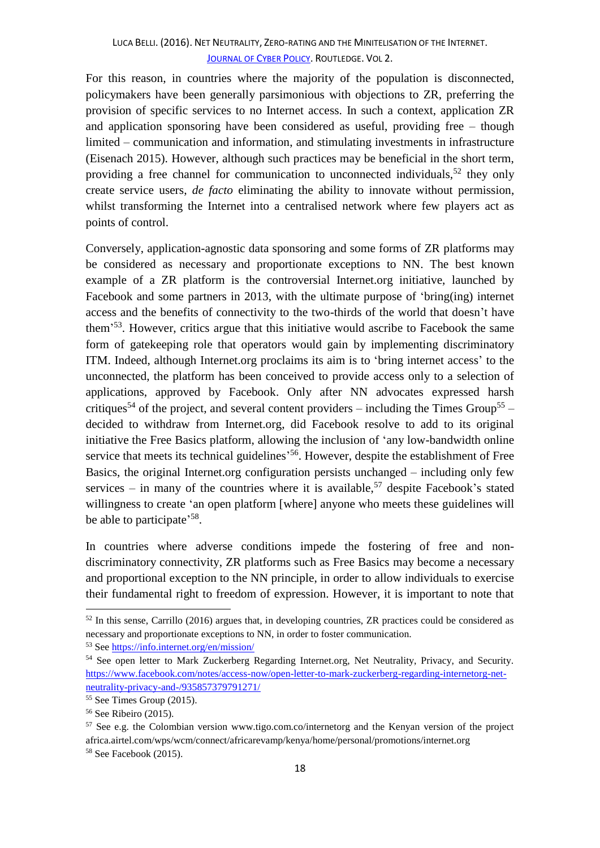For this reason, in countries where the majority of the population is disconnected, policymakers have been generally parsimonious with objections to ZR, preferring the provision of specific services to no Internet access. In such a context, application ZR and application sponsoring have been considered as useful, providing free – though limited – communication and information, and stimulating investments in infrastructure (Eisenach 2015). However, although such practices may be beneficial in the short term, providing a free channel for communication to unconnected individuals,  $52$  they only create service users, *de facto* eliminating the ability to innovate without permission, whilst transforming the Internet into a centralised network where few players act as points of control.

Conversely, application-agnostic data sponsoring and some forms of ZR platforms may be considered as necessary and proportionate exceptions to NN. The best known example of a ZR platform is the controversial Internet.org initiative, launched by Facebook and some partners in 2013, with the ultimate purpose of 'bring(ing) internet access and the benefits of connectivity to the two-thirds of the world that doesn't have them<sup>553</sup>. However, critics argue that this initiative would ascribe to Facebook the same form of gatekeeping role that operators would gain by implementing discriminatory ITM. Indeed, although Internet.org proclaims its aim is to 'bring internet access' to the unconnected, the platform has been conceived to provide access only to a selection of applications, approved by Facebook. Only after NN advocates expressed harsh critiques<sup>54</sup> of the project, and several content providers – including the Times Group<sup>55</sup> – decided to withdraw from Internet.org, did Facebook resolve to add to its original initiative the Free Basics platform, allowing the inclusion of 'any low-bandwidth online service that meets its technical guidelines<sup>556</sup>. However, despite the establishment of Free Basics, the original Internet.org configuration persists unchanged – including only few services – in many of the countries where it is available,<sup>57</sup> despite Facebook's stated willingness to create 'an open platform [where] anyone who meets these guidelines will be able to participate<sup>'58</sup>.

In countries where adverse conditions impede the fostering of free and nondiscriminatory connectivity, ZR platforms such as Free Basics may become a necessary and proportional exception to the NN principle, in order to allow individuals to exercise their fundamental right to freedom of expression. However, it is important to note that

1

 $52$  In this sense, Carrillo (2016) argues that, in developing countries, ZR practices could be considered as necessary and proportionate exceptions to NN, in order to foster communication.

<sup>53</sup> See<https://info.internet.org/en/mission/>

<sup>&</sup>lt;sup>54</sup> See open letter to Mark Zuckerberg Regarding Internet.org, Net Neutrality, Privacy, and Security. [https://www.facebook.com/notes/access-now/open-letter-to-mark-zuckerberg-regarding-internetorg-net](https://www.facebook.com/notes/access-now/open-letter-to-mark-zuckerberg-regarding-internetorg-net-neutrality-privacy-and-/935857379791271/)[neutrality-privacy-and-/935857379791271/](https://www.facebook.com/notes/access-now/open-letter-to-mark-zuckerberg-regarding-internetorg-net-neutrality-privacy-and-/935857379791271/)

<sup>55</sup> See Times Group (2015).

<sup>56</sup> See Ribeiro (2015).

<sup>57</sup> See e.g. the Colombian version www.tigo.com.co/internetorg and the Kenyan version of the project africa.airtel.com/wps/wcm/connect/africarevamp/kenya/home/personal/promotions/internet.org <sup>58</sup> See Facebook (2015).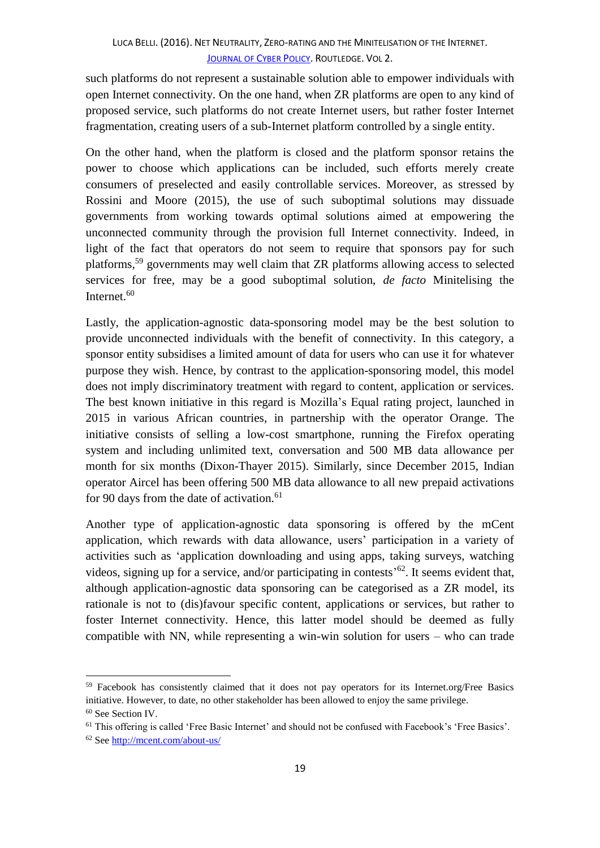such platforms do not represent a sustainable solution able to empower individuals with open Internet connectivity. On the one hand, when ZR platforms are open to any kind of proposed service, such platforms do not create Internet users, but rather foster Internet fragmentation, creating users of a sub-Internet platform controlled by a single entity.

On the other hand, when the platform is closed and the platform sponsor retains the power to choose which applications can be included, such efforts merely create consumers of preselected and easily controllable services. Moreover, as stressed by Rossini and Moore (2015), the use of such suboptimal solutions may dissuade governments from working towards optimal solutions aimed at empowering the unconnected community through the provision full Internet connectivity. Indeed, in light of the fact that operators do not seem to require that sponsors pay for such platforms,<sup>59</sup> governments may well claim that ZR platforms allowing access to selected services for free, may be a good suboptimal solution, *de facto* Minitelising the Internet. 60

Lastly, the application-agnostic data-sponsoring model may be the best solution to provide unconnected individuals with the benefit of connectivity. In this category, a sponsor entity subsidises a limited amount of data for users who can use it for whatever purpose they wish. Hence, by contrast to the application-sponsoring model, this model does not imply discriminatory treatment with regard to content, application or services. The best known initiative in this regard is Mozilla's Equal rating project, launched in 2015 in various African countries, in partnership with the operator Orange. The initiative consists of selling a low-cost smartphone, running the Firefox operating system and including unlimited text, conversation and 500 MB data allowance per month for six months (Dixon-Thayer 2015). Similarly, since December 2015, Indian operator Aircel has been offering 500 MB data allowance to all new prepaid activations for 90 days from the date of activation.<sup>61</sup>

Another type of application-agnostic data sponsoring is offered by the mCent application, which rewards with data allowance, users' participation in a variety of activities such as 'application downloading and using apps, taking surveys, watching videos, signing up for a service, and/or participating in contests<sup> $62$ </sup>. It seems evident that, although application-agnostic data sponsoring can be categorised as a ZR model, its rationale is not to (dis)favour specific content, applications or services, but rather to foster Internet connectivity. Hence, this latter model should be deemed as fully compatible with NN, while representing a win-win solution for users – who can trade

<sup>59</sup> Facebook has consistently claimed that it does not pay operators for its Internet.org/Free Basics initiative. However, to date, no other stakeholder has been allowed to enjoy the same privilege.

<sup>60</sup> See Section IV.

<sup>61</sup> This offering is called 'Free Basic Internet' and should not be confused with Facebook's 'Free Basics'.

<sup>62</sup> See<http://mcent.com/about-us/>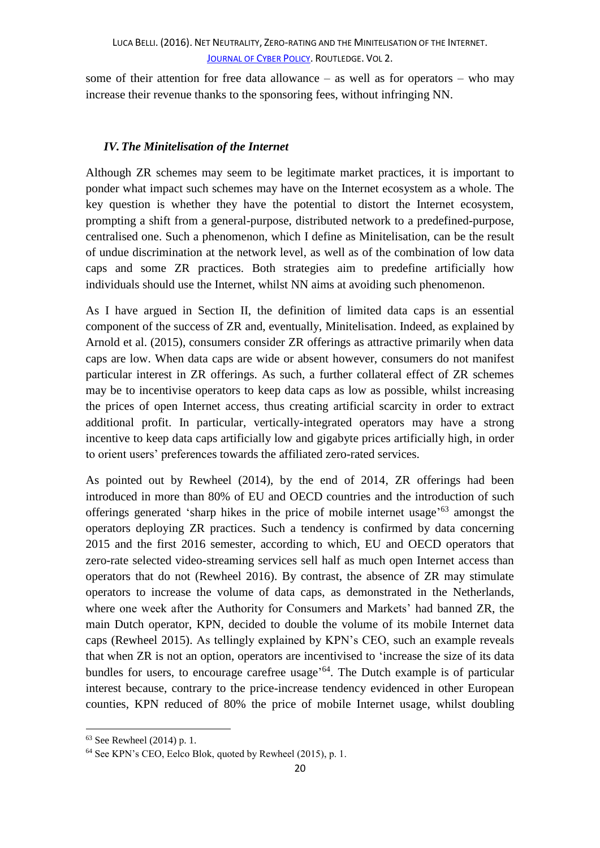some of their attention for free data allowance – as well as for operators – who may increase their revenue thanks to the sponsoring fees, without infringing NN.

# *IV.The Minitelisation of the Internet*

Although ZR schemes may seem to be legitimate market practices, it is important to ponder what impact such schemes may have on the Internet ecosystem as a whole. The key question is whether they have the potential to distort the Internet ecosystem, prompting a shift from a general-purpose, distributed network to a predefined-purpose, centralised one. Such a phenomenon, which I define as Minitelisation, can be the result of undue discrimination at the network level, as well as of the combination of low data caps and some ZR practices. Both strategies aim to predefine artificially how individuals should use the Internet, whilst NN aims at avoiding such phenomenon.

As I have argued in Section II, the definition of limited data caps is an essential component of the success of ZR and, eventually, Minitelisation. Indeed, as explained by Arnold et al. (2015), consumers consider ZR offerings as attractive primarily when data caps are low. When data caps are wide or absent however, consumers do not manifest particular interest in ZR offerings. As such, a further collateral effect of ZR schemes may be to incentivise operators to keep data caps as low as possible, whilst increasing the prices of open Internet access, thus creating artificial scarcity in order to extract additional profit. In particular, vertically-integrated operators may have a strong incentive to keep data caps artificially low and gigabyte prices artificially high, in order to orient users' preferences towards the affiliated zero-rated services.

As pointed out by Rewheel (2014), by the end of 2014, ZR offerings had been introduced in more than 80% of EU and OECD countries and the introduction of such offerings generated 'sharp hikes in the price of mobile internet usage' <sup>63</sup> amongst the operators deploying ZR practices. Such a tendency is confirmed by data concerning 2015 and the first 2016 semester, according to which, EU and OECD operators that zero-rate selected video-streaming services sell half as much open Internet access than operators that do not (Rewheel 2016). By contrast, the absence of ZR may stimulate operators to increase the volume of data caps, as demonstrated in the Netherlands, where one week after the Authority for Consumers and Markets' had banned ZR, the main Dutch operator, KPN, decided to double the volume of its mobile Internet data caps (Rewheel 2015). As tellingly explained by KPN's CEO, such an example reveals that when ZR is not an option, operators are incentivised to 'increase the size of its data bundles for users, to encourage carefree usage<sup>'64</sup>. The Dutch example is of particular interest because, contrary to the price-increase tendency evidenced in other European counties, KPN reduced of 80% the price of mobile Internet usage, whilst doubling

<sup>63</sup> See Rewheel (2014) p. 1.

<sup>64</sup> See KPN's CEO, Eelco Blok, quoted by Rewheel (2015), p. 1.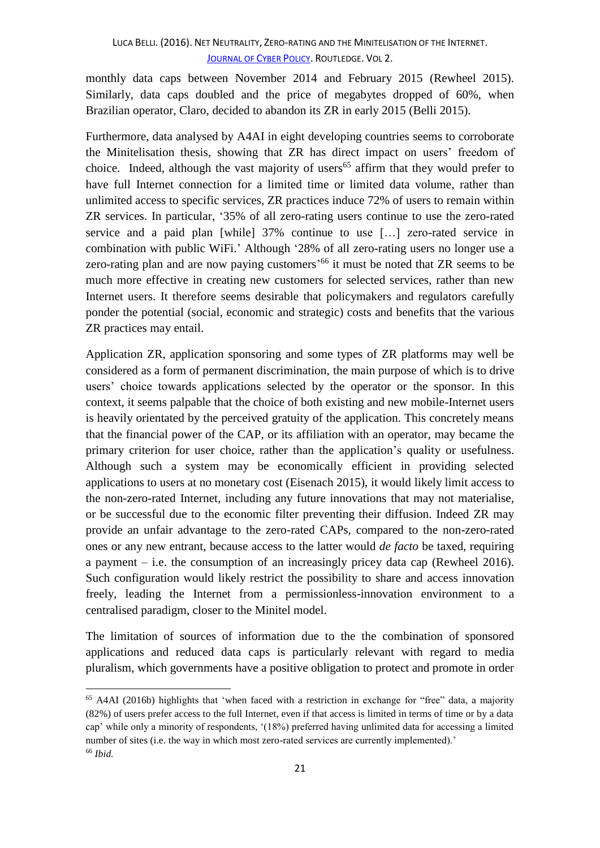monthly data caps between November 2014 and February 2015 (Rewheel 2015). Similarly, data caps doubled and the price of megabytes dropped of 60%, when Brazilian operator, Claro, decided to abandon its ZR in early 2015 (Belli 2015).

Furthermore, data analysed by A4AI in eight developing countries seems to corroborate the Minitelisation thesis, showing that ZR has direct impact on users' freedom of choice. Indeed, although the vast majority of users<sup>65</sup> affirm that they would prefer to have full Internet connection for a limited time or limited data volume, rather than unlimited access to specific services, ZR practices induce 72% of users to remain within ZR services. In particular, '35% of all zero-rating users continue to use the zero-rated service and a paid plan [while] 37% continue to use […] zero-rated service in combination with public WiFi.' Although '28% of all zero-rating users no longer use a zero-rating plan and are now paying customers<sup>'66</sup> it must be noted that ZR seems to be much more effective in creating new customers for selected services, rather than new Internet users. It therefore seems desirable that policymakers and regulators carefully ponder the potential (social, economic and strategic) costs and benefits that the various ZR practices may entail.

Application ZR, application sponsoring and some types of ZR platforms may well be considered as a form of permanent discrimination, the main purpose of which is to drive users' choice towards applications selected by the operator or the sponsor. In this context, it seems palpable that the choice of both existing and new mobile-Internet users is heavily orientated by the perceived gratuity of the application. This concretely means that the financial power of the CAP, or its affiliation with an operator, may became the primary criterion for user choice, rather than the application's quality or usefulness. Although such a system may be economically efficient in providing selected applications to users at no monetary cost (Eisenach 2015), it would likely limit access to the non-zero-rated Internet, including any future innovations that may not materialise, or be successful due to the economic filter preventing their diffusion. Indeed ZR may provide an unfair advantage to the zero-rated CAPs, compared to the non-zero-rated ones or any new entrant, because access to the latter would *de facto* be taxed, requiring a payment – i.e. the consumption of an increasingly pricey data cap (Rewheel 2016). Such configuration would likely restrict the possibility to share and access innovation freely, leading the Internet from a permissionless-innovation environment to a centralised paradigm, closer to the Minitel model.

The limitation of sources of information due to the the combination of sponsored applications and reduced data caps is particularly relevant with regard to media pluralism, which governments have a positive obligation to protect and promote in order

<sup>65</sup> A4AI (2016b) highlights that 'when faced with a restriction in exchange for "free" data, a majority (82%) of users prefer access to the full Internet, even if that access is limited in terms of time or by a data cap' while only a minority of respondents, '(18%) preferred having unlimited data for accessing a limited number of sites (i.e. the way in which most zero-rated services are currently implemented).' <sup>66</sup> *Ibid.*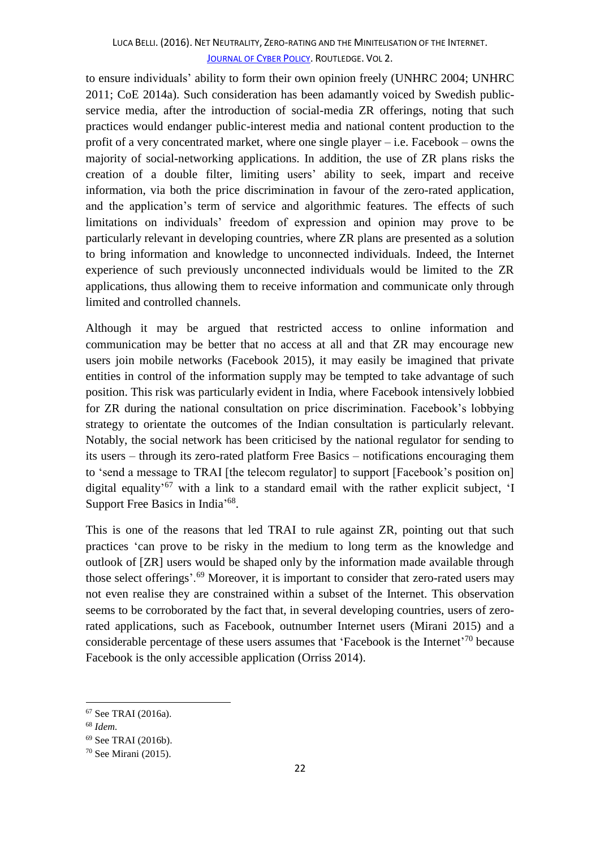to ensure individuals' ability to form their own opinion freely (UNHRC 2004; UNHRC 2011; CoE 2014a). Such consideration has been adamantly voiced by Swedish publicservice media, after the introduction of social-media ZR offerings, noting that such practices would endanger public-interest media and national content production to the profit of a very concentrated market, where one single player  $-$  i.e. Facebook – owns the majority of social-networking applications. In addition, the use of ZR plans risks the creation of a double filter, limiting users' ability to seek, impart and receive information, via both the price discrimination in favour of the zero-rated application, and the application's term of service and algorithmic features. The effects of such limitations on individuals' freedom of expression and opinion may prove to be particularly relevant in developing countries, where ZR plans are presented as a solution to bring information and knowledge to unconnected individuals. Indeed, the Internet experience of such previously unconnected individuals would be limited to the ZR applications, thus allowing them to receive information and communicate only through limited and controlled channels.

Although it may be argued that restricted access to online information and communication may be better that no access at all and that ZR may encourage new users join mobile networks (Facebook 2015), it may easily be imagined that private entities in control of the information supply may be tempted to take advantage of such position. This risk was particularly evident in India, where Facebook intensively lobbied for ZR during the national consultation on price discrimination. Facebook's lobbying strategy to orientate the outcomes of the Indian consultation is particularly relevant. Notably, the social network has been criticised by the national regulator for sending to its users – through its zero-rated platform Free Basics – notifications encouraging them to 'send a message to TRAI [the telecom regulator] to support [Facebook's position on] digital equality<sup>'67</sup> with a link to a standard email with the rather explicit subject, 'I Support Free Basics in India'<sup>68</sup>.

This is one of the reasons that led TRAI to rule against ZR, pointing out that such practices 'can prove to be risky in the medium to long term as the knowledge and outlook of [ZR] users would be shaped only by the information made available through those select offerings'.<sup>69</sup> Moreover, it is important to consider that zero-rated users may not even realise they are constrained within a subset of the Internet. This observation seems to be corroborated by the fact that, in several developing countries, users of zerorated applications, such as Facebook, outnumber Internet users (Mirani 2015) and a considerable percentage of these users assumes that 'Facebook is the Internet'<sup>70</sup> because Facebook is the only accessible application (Orriss 2014).

<sup>67</sup> See TRAI (2016a).

<sup>68</sup> *Idem.*

<sup>69</sup> See TRAI (2016b).

<sup>70</sup> See Mirani (2015).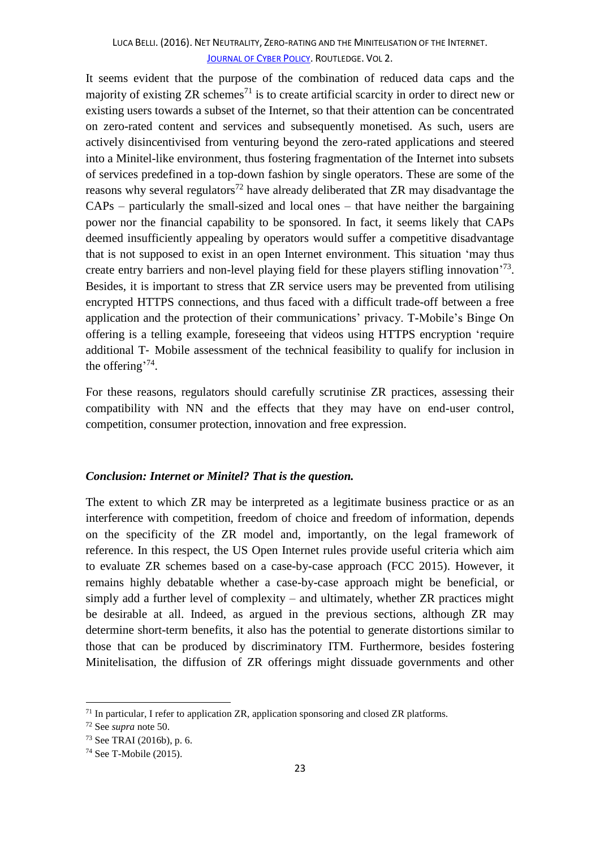It seems evident that the purpose of the combination of reduced data caps and the majority of existing  $ZR$  schemes<sup>71</sup> is to create artificial scarcity in order to direct new or existing users towards a subset of the Internet, so that their attention can be concentrated on zero-rated content and services and subsequently monetised. As such, users are actively disincentivised from venturing beyond the zero-rated applications and steered into a Minitel-like environment, thus fostering fragmentation of the Internet into subsets of services predefined in a top-down fashion by single operators. These are some of the reasons why several regulators<sup>72</sup> have already deliberated that  $ZR$  may disadvantage the CAPs – particularly the small-sized and local ones – that have neither the bargaining power nor the financial capability to be sponsored. In fact, it seems likely that CAPs deemed insufficiently appealing by operators would suffer a competitive disadvantage that is not supposed to exist in an open Internet environment. This situation 'may thus create entry barriers and non-level playing field for these players stifling innovation<sup>73</sup>. Besides, it is important to stress that ZR service users may be prevented from utilising encrypted HTTPS connections, and thus faced with a difficult trade-off between a free application and the protection of their communications' privacy. T-Mobile's Binge On offering is a telling example, foreseeing that videos using HTTPS encryption 'require additional T‐ Mobile assessment of the technical feasibility to qualify for inclusion in the offering<sup>'74</sup>.

For these reasons, regulators should carefully scrutinise ZR practices, assessing their compatibility with NN and the effects that they may have on end-user control, competition, consumer protection, innovation and free expression.

## *Conclusion: Internet or Minitel? That is the question.*

The extent to which ZR may be interpreted as a legitimate business practice or as an interference with competition, freedom of choice and freedom of information, depends on the specificity of the ZR model and, importantly, on the legal framework of reference. In this respect, the US Open Internet rules provide useful criteria which aim to evaluate ZR schemes based on a case-by-case approach (FCC 2015). However, it remains highly debatable whether a case-by-case approach might be beneficial, or simply add a further level of complexity – and ultimately, whether ZR practices might be desirable at all. Indeed, as argued in the previous sections, although ZR may determine short-term benefits, it also has the potential to generate distortions similar to those that can be produced by discriminatory ITM. Furthermore, besides fostering Minitelisation, the diffusion of ZR offerings might dissuade governments and other

 $71$  In particular, I refer to application ZR, application sponsoring and closed ZR platforms.

<sup>72</sup> See *supra* note 50.

<sup>73</sup> See TRAI (2016b), p. 6.

<sup>74</sup> See T-Mobile (2015).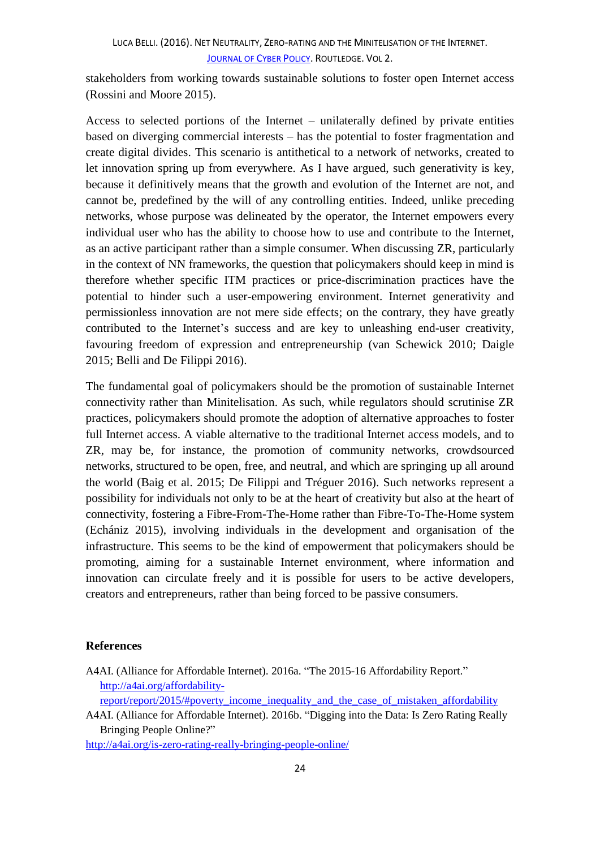stakeholders from working towards sustainable solutions to foster open Internet access (Rossini and Moore 2015).

Access to selected portions of the Internet – unilaterally defined by private entities based on diverging commercial interests – has the potential to foster fragmentation and create digital divides. This scenario is antithetical to a network of networks, created to let innovation spring up from everywhere. As I have argued, such generativity is key, because it definitively means that the growth and evolution of the Internet are not, and cannot be, predefined by the will of any controlling entities. Indeed, unlike preceding networks, whose purpose was delineated by the operator, the Internet empowers every individual user who has the ability to choose how to use and contribute to the Internet, as an active participant rather than a simple consumer. When discussing ZR, particularly in the context of NN frameworks, the question that policymakers should keep in mind is therefore whether specific ITM practices or price-discrimination practices have the potential to hinder such a user-empowering environment. Internet generativity and permissionless innovation are not mere side effects; on the contrary, they have greatly contributed to the Internet's success and are key to unleashing end-user creativity, favouring freedom of expression and entrepreneurship (van Schewick 2010; Daigle 2015; Belli and De Filippi 2016).

The fundamental goal of policymakers should be the promotion of sustainable Internet connectivity rather than Minitelisation. As such, while regulators should scrutinise ZR practices, policymakers should promote the adoption of alternative approaches to foster full Internet access. A viable alternative to the traditional Internet access models, and to ZR, may be, for instance, the promotion of community networks, crowdsourced networks, structured to be open, free, and neutral, and which are springing up all around the world (Baig et al. 2015; De Filippi and Tréguer 2016). Such networks represent a possibility for individuals not only to be at the heart of creativity but also at the heart of connectivity, fostering a Fibre-From-The-Home rather than Fibre-To-The-Home system (Echániz 2015), involving individuals in the development and organisation of the infrastructure. This seems to be the kind of empowerment that policymakers should be promoting, aiming for a sustainable Internet environment, where information and innovation can circulate freely and it is possible for users to be active developers, creators and entrepreneurs, rather than being forced to be passive consumers.

## **References**

A4AI. (Alliance for Affordable Internet). 2016a. "The 2015-16 Affordability Report." [http://a4ai.org/affordability-](http://a4ai.org/affordability-report/report/2015/#poverty_income_inequality_and_the_case_of_mistaken_affordability)

[report/report/2015/#poverty\\_income\\_inequality\\_and\\_the\\_case\\_of\\_mistaken\\_affordability](http://a4ai.org/affordability-report/report/2015/#poverty_income_inequality_and_the_case_of_mistaken_affordability)\_

A4AI. (Alliance for Affordable Internet). 2016b. "Digging into the Data: Is Zero Rating Really Bringing People Online?"

<http://a4ai.org/is-zero-rating-really-bringing-people-online/>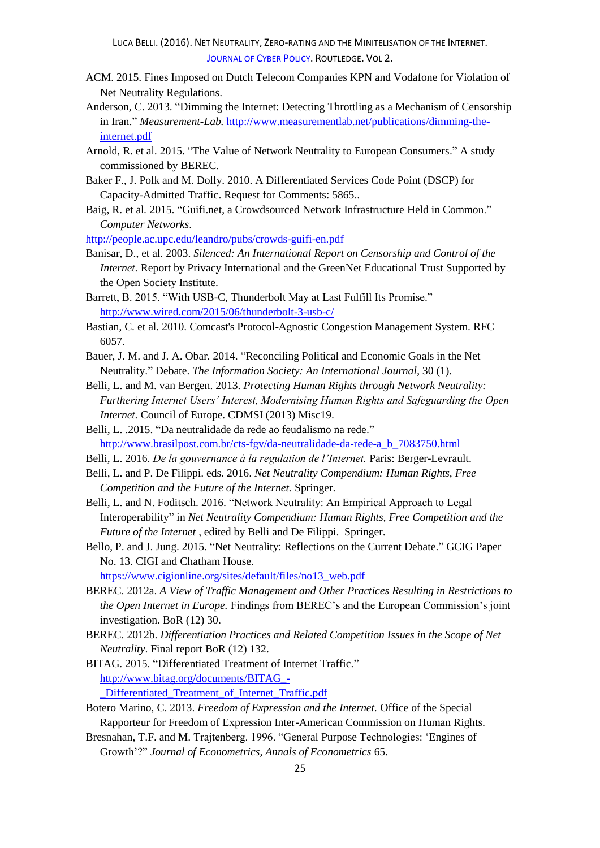- ACM. 2015. Fines Imposed on Dutch Telecom Companies KPN and Vodafone for Violation of Net Neutrality Regulations.
- Anderson, C. 2013. "Dimming the Internet: Detecting Throttling as a Mechanism of Censorship in Iran." *Measurement-Lab.* [http://www.measurementlab.net/publications/dimming-the](http://www.measurementlab.net/publications/dimming-the-internet.pdf)[internet.pdf](http://www.measurementlab.net/publications/dimming-the-internet.pdf)
- Arnold, R. et al*.* 2015. "The Value of Network Neutrality to European Consumers." A study commissioned by BEREC.
- Baker F., J. Polk and M. Dolly. 2010. A Differentiated Services Code Point (DSCP) for Capacity-Admitted Traffic. Request for Comments: 5865..
- Baig, R. et al*.* 2015. "Guifi.net, a Crowdsourced Network Infrastructure Held in Common." *Computer Networks*.

<http://people.ac.upc.edu/leandro/pubs/crowds-guifi-en.pdf>

- Banisar, D., et al*.* 2003. *Silenced: An International Report on Censorship and Control of the Internet.* Report by Privacy International and the GreenNet Educational Trust Supported by the Open Society Institute.
- Barrett, B. 2015. "With USB-C, Thunderbolt May at Last Fulfill Its Promise." <http://www.wired.com/2015/06/thunderbolt-3-usb-c/>
- Bastian, C*.* et al. 2010. Comcast's Protocol-Agnostic Congestion Management System. RFC 6057.
- Bauer, J. M. and J. A. Obar. 2014. "Reconciling Political and Economic Goals in the Net Neutrality." Debate. *The Information Society: An International Journal*, 30 (1).
- Belli, L. and M. van Bergen. 2013. *Protecting Human Rights through Network Neutrality: Furthering Internet Users' Interest, Modernising Human Rights and Safeguarding the Open Internet.* Council of Europe. CDMSI (2013) Misc19.
- Belli, L. .2015. "Da neutralidade da rede ao feudalismo na rede." [http://www.brasilpost.com.br/cts-fgv/da-neutralidade-da-rede-a\\_b\\_7083750.html](http://www.brasilpost.com.br/cts-fgv/da-neutralidade-da-rede-a_b_7083750.html)
- Belli, L. 2016. *De la gouvernance à la regulation de l'Internet.* Paris: Berger-Levrault.
- Belli, L. and P. De Filippi. eds. 2016. *Net Neutrality Compendium: Human Rights, Free Competition and the Future of the Internet.* Springer.
- Belli, L. and N. Foditsch. 2016. "Network Neutrality: An Empirical Approach to Legal Interoperability" in *Net Neutrality Compendium: Human Rights, Free Competition and the Future of the Internet* , edited by Belli and De Filippi. Springer.
- Bello, P. and J. Jung. 2015. "Net Neutrality: Reflections on the Current Debate." GCIG Paper No. 13. CIGI and Chatham House.

[https://www.cigionline.org/sites/default/files/no13\\_web.pdf](https://www.cigionline.org/sites/default/files/no13_web.pdf)

- BEREC. 2012a. *A View of Traffic Management and Other Practices Resulting in Restrictions to the Open Internet in Europe.* Findings from BEREC's and the European Commission's joint investigation. BoR (12) 30.
- BEREC. 2012b. *Differentiation Practices and Related Competition Issues in the Scope of Net Neutrality*. Final report BoR (12) 132.
- BITAG. 2015. "Differentiated Treatment of Internet Traffic." [http://www.bitag.org/documents/BITAG\\_-](http://www.bitag.org/documents/BITAG_-_Differentiated_Treatment_of_Internet_Traffic.pdf) [\\_Differentiated\\_Treatment\\_of\\_Internet\\_Traffic.pdf](http://www.bitag.org/documents/BITAG_-_Differentiated_Treatment_of_Internet_Traffic.pdf)

Botero Marino, C. 2013. *Freedom of Expression and the Internet.* Office of the Special Rapporteur for Freedom of Expression Inter-American Commission on Human Rights.

Bresnahan, T.F. and M. Trajtenberg. 1996. "General Purpose Technologies: 'Engines of Growth'?" *Journal of Econometrics, Annals of Econometrics* 65.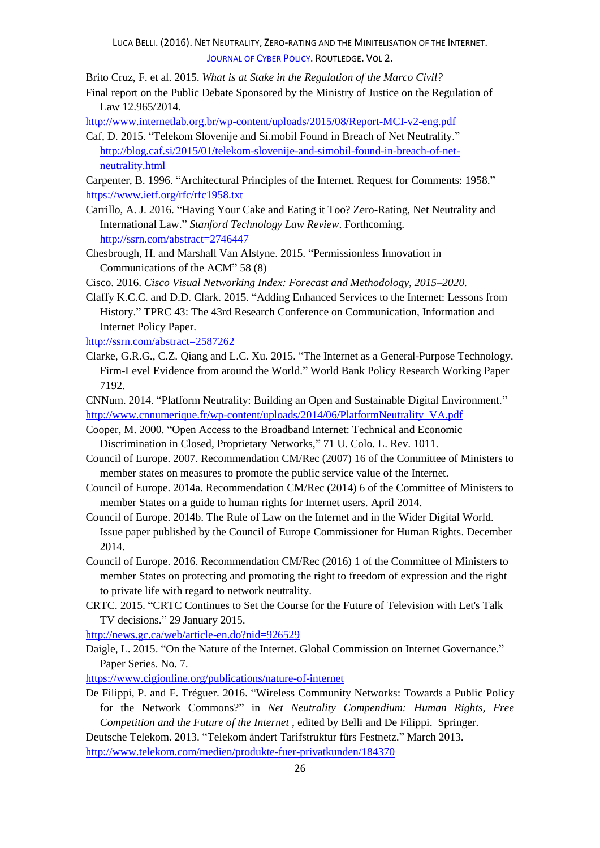Brito Cruz, F. et al. 2015. *What is at Stake in the Regulation of the Marco Civil?* 

Final report on the Public Debate Sponsored by the Ministry of Justice on the Regulation of Law 12.965/2014.

<http://www.internetlab.org.br/wp-content/uploads/2015/08/Report-MCI-v2-eng.pdf>

Caf, D. 2015. "Telekom Slovenije and Si.mobil Found in Breach of Net Neutrality." [http://blog.caf.si/2015/01/telekom-slovenije-and-simobil-found-in-breach-of-net](http://blog.caf.si/2015/01/telekom-slovenije-and-simobil-found-in-breach-of-net-neutrality.html)[neutrality.html](http://blog.caf.si/2015/01/telekom-slovenije-and-simobil-found-in-breach-of-net-neutrality.html)

Carpenter, B. 1996. "Architectural Principles of the Internet. Request for Comments: 1958." <https://www.ietf.org/rfc/rfc1958.txt>

- Carrillo, A. J. 2016. "Having Your Cake and Eating it Too? Zero-Rating, Net Neutrality and International Law." *Stanford Technology Law Review*. Forthcoming. <http://ssrn.com/abstract=2746447>
- Chesbrough, H. and Marshall Van Alstyne. 2015. "Permissionless Innovation in Communications of the ACM" 58 (8)
- Cisco. 2016. *Cisco Visual Networking Index: Forecast and Methodology, 2015–2020.*

Claffy K.C.C. and D.D. Clark. 2015. "Adding Enhanced Services to the Internet: Lessons from History." TPRC 43: The 43rd Research Conference on Communication, Information and Internet Policy Paper.

<http://ssrn.com/abstract=2587262>

- Clarke, G.R.G., C.Z. Qiang and L.C. Xu. 2015. "The Internet as a General-Purpose Technology. Firm-Level Evidence from around the World." World Bank Policy Research Working Paper 7192.
- CNNum. 2014. "Platform Neutrality: Building an Open and Sustainable Digital Environment." [http://www.cnnumerique.fr/wp-content/uploads/2014/06/PlatformNeutrality\\_VA.pdf](http://www.cnnumerique.fr/wp-content/uploads/2014/06/PlatformNeutrality_VA.pdf)
- Cooper, M. 2000. "Open Access to the Broadband Internet: Technical and Economic Discrimination in Closed, Proprietary Networks," 71 U. Colo. L. Rev. 1011.
- Council of Europe. 2007. Recommendation CM/Rec (2007) 16 of the Committee of Ministers to member states on measures to promote the public service value of the Internet.
- Council of Europe. 2014a. Recommendation CM/Rec (2014) 6 of the Committee of Ministers to member States on a guide to human rights for Internet users. April 2014.
- Council of Europe. 2014b. The Rule of Law on the Internet and in the Wider Digital World. Issue paper published by the Council of Europe Commissioner for Human Rights. December 2014.
- Council of Europe. 2016. Recommendation CM/Rec (2016) 1 of the Committee of Ministers to member States on protecting and promoting the right to freedom of expression and the right to private life with regard to network neutrality.
- CRTC. 2015. "CRTC Continues to Set the Course for the Future of Television with Let's Talk TV decisions." 29 January 2015.

<http://news.gc.ca/web/article-en.do?nid=926529>

Daigle, L. 2015. "On the Nature of the Internet. Global Commission on Internet Governance." Paper Series. No. 7.

<https://www.cigionline.org/publications/nature-of-internet>

De Filippi, P. and F. Tréguer. 2016. "Wireless Community Networks: Towards a Public Policy for the Network Commons?" in *Net Neutrality Compendium: Human Rights, Free Competition and the Future of the Internet* , edited by Belli and De Filippi. Springer.

Deutsche Telekom. 2013. "Telekom ändert Tarifstruktur fürs Festnetz." March 2013. <http://www.telekom.com/medien/produkte-fuer-privatkunden/184370>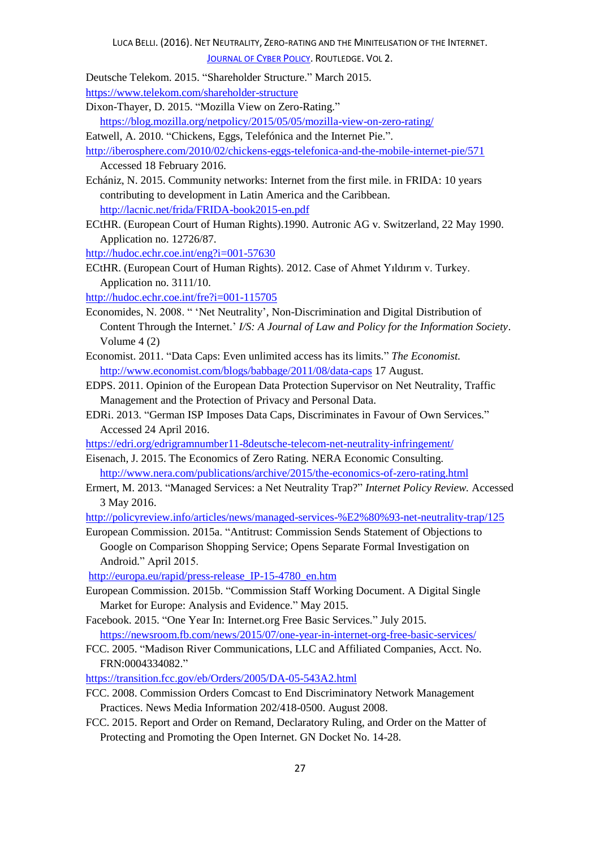J[OURNAL OF](http://dx.doi.org/10.1080/23738871.2016.1238954) CYBER POLICY. ROUTLEDGE. VOL 2.

Deutsche Telekom. 2015. "Shareholder Structure." March 2015. <https://www.telekom.com/shareholder-structure>

Dixon-Thayer, D. 2015. "Mozilla View on Zero-Rating."

<https://blog.mozilla.org/netpolicy/2015/05/05/mozilla-view-on-zero-rating/>

Eatwell, A. 2010. "Chickens, Eggs, Telefónica and the Internet Pie.".

<http://iberosphere.com/2010/02/chickens-eggs-telefonica-and-the-mobile-internet-pie/571> Accessed 18 February 2016.

- Echániz, N. 2015. Community networks: Internet from the first mile. in FRIDA: 10 years contributing to development in Latin America and the Caribbean. <http://lacnic.net/frida/FRIDA-book2015-en.pdf>
- ECtHR. (European Court of Human Rights).1990. Autronic AG v. Switzerland, 22 May 1990. Application no. 12726/87.

<http://hudoc.echr.coe.int/eng?i=001-57630>

ECtHR. (European Court of Human Rights). 2012. Case of Ahmet Yıldırım v. Turkey. Application no. 3111/10.

<http://hudoc.echr.coe.int/fre?i=001-115705>

- Economides, N. 2008. " 'Net Neutrality', Non-Discrimination and Digital Distribution of Content Through the Internet.' *I/S: A Journal of Law and Policy for the Information Society*. Volume 4 (2)
- Economist. 2011. "Data Caps: Even unlimited access has its limits." *The Economist.*  <http://www.economist.com/blogs/babbage/2011/08/data-caps> 17 August.
- EDPS. 2011. Opinion of the European Data Protection Supervisor on Net Neutrality, Traffic Management and the Protection of Privacy and Personal Data.
- EDRi. 2013. "German ISP Imposes Data Caps, Discriminates in Favour of Own Services." Accessed 24 April 2016.

<https://edri.org/edrigramnumber11-8deutsche-telecom-net-neutrality-infringement/>

- Eisenach, J. 2015. The Economics of Zero Rating. NERA Economic Consulting. <http://www.nera.com/publications/archive/2015/the-economics-of-zero-rating.html>
- Ermert, M. 2013. "Managed Services: a Net Neutrality Trap?" *Internet Policy Review.* Accessed 3 May 2016.

<http://policyreview.info/articles/news/managed-services-%E2%80%93-net-neutrality-trap/125>

European Commission. 2015a. "Antitrust: Commission Sends Statement of Objections to Google on Comparison Shopping Service; Opens Separate Formal Investigation on Android." April 2015.

[http://europa.eu/rapid/press-release\\_IP-15-4780\\_en.htm](http://europa.eu/rapid/press-release_IP-15-4780_en.htm)

- European Commission. 2015b. "Commission Staff Working Document. A Digital Single Market for Europe: Analysis and Evidence." May 2015.
- Facebook. 2015. "One Year In: Internet.org Free Basic Services." July 2015. <https://newsroom.fb.com/news/2015/07/one-year-in-internet-org-free-basic-services/>
- FCC. 2005. "Madison River Communications, LLC and Affiliated Companies, Acct. No. FRN:0004334082."

<https://transition.fcc.gov/eb/Orders/2005/DA-05-543A2.html>

- FCC. 2008. Commission Orders Comcast to End Discriminatory Network Management Practices. News Media Information 202/418-0500. August 2008.
- FCC. 2015. Report and Order on Remand, Declaratory Ruling, and Order on the Matter of Protecting and Promoting the Open Internet. GN Docket No. 14-28.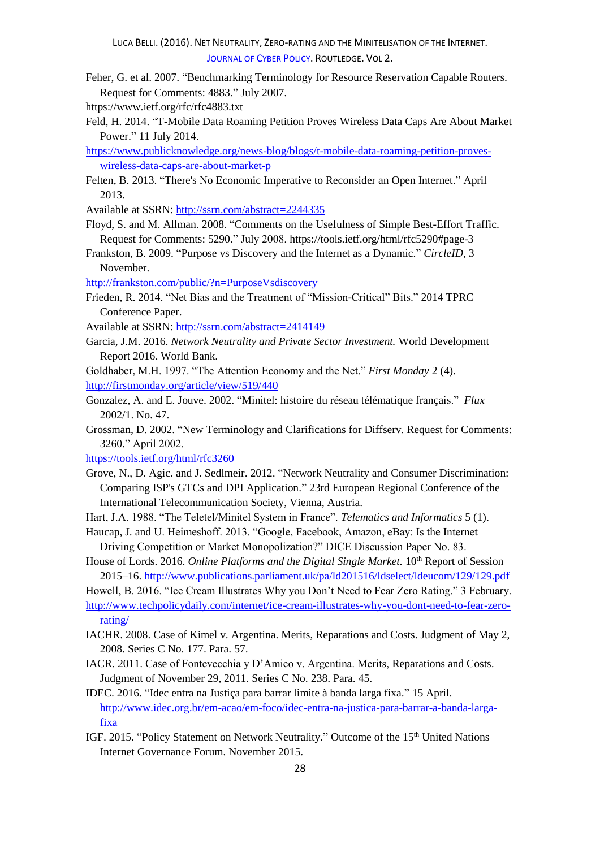- Feher, G. et al. 2007. "Benchmarking Terminology for Resource Reservation Capable Routers. Request for Comments: 4883." July 2007.
- https://www.ietf.org/rfc/rfc4883.txt
- Feld, H. 2014. "T-Mobile Data Roaming Petition Proves Wireless Data Caps Are About Market Power." 11 July 2014.
- [https://www.publicknowledge.org/news-blog/blogs/t-mobile-data-roaming-petition-proves](https://www.publicknowledge.org/news-blog/blogs/t-mobile-data-roaming-petition-proves-wireless-data-caps-are-about-market-p)[wireless-data-caps-are-about-market-p](https://www.publicknowledge.org/news-blog/blogs/t-mobile-data-roaming-petition-proves-wireless-data-caps-are-about-market-p)
- Felten, B. 2013. "There's No Economic Imperative to Reconsider an Open Internet." April 2013.
- Available at SSRN:<http://ssrn.com/abstract=2244335>
- Floyd, S. and M. Allman. 2008. "Comments on the Usefulness of Simple Best-Effort Traffic. Request for Comments: 5290." July 2008. https://tools.ietf.org/html/rfc5290#page-3
- Frankston, B. 2009. "Purpose vs Discovery and the Internet as a Dynamic." *CircleID*, 3 November.

<http://frankston.com/public/?n=PurposeVsdiscovery>

- Frieden, R. 2014. "Net Bias and the Treatment of "Mission-Critical" Bits." 2014 TPRC Conference Paper.
- Available at SSRN:<http://ssrn.com/abstract=2414149>
- Garcia, J.M. 2016. *Network Neutrality and Private Sector Investment.* World Development Report 2016. World Bank.
- Goldhaber, M.H. 1997. "The Attention Economy and the Net." *First Monday* 2 (4). <http://firstmonday.org/article/view/519/440>
- Gonzalez, A. and E. Jouve. 2002. "Minitel: histoire du réseau télématique français." *Flux* 2002/1. No. 47.
- Grossman, D. 2002. "New Terminology and Clarifications for Diffserv. Request for Comments: 3260." April 2002.

<https://tools.ietf.org/html/rfc3260>

- Grove, N., D. Agic. and J. Sedlmeir. 2012. "Network Neutrality and Consumer Discrimination: Comparing ISP's GTCs and DPI Application." 23rd European Regional Conference of the International Telecommunication Society, Vienna, Austria.
- Hart, J.A. 1988. "The Teletel/Minitel System in France". *Telematics and Informatics* 5 (1).
- Haucap, J. and U. Heimeshoff. 2013. "Google, Facebook, Amazon, eBay: Is the Internet Driving Competition or Market Monopolization?" DICE Discussion Paper No. 83.
- House of Lords. 2016. *Online Platforms and the Digital Single Market*. 10<sup>th</sup> Report of Session 2015–16.<http://www.publications.parliament.uk/pa/ld201516/ldselect/ldeucom/129/129.pdf>

Howell, B. 2016. "Ice Cream Illustrates Why you Don't Need to Fear Zero Rating." 3 February. [http://www.techpolicydaily.com/internet/ice-cream-illustrates-why-you-dont-need-to-fear-zero](http://www.techpolicydaily.com/internet/ice-cream-illustrates-why-you-dont-need-to-fear-zero-rating/)[rating/](http://www.techpolicydaily.com/internet/ice-cream-illustrates-why-you-dont-need-to-fear-zero-rating/)

- IACHR. 2008. Case of Kimel v. Argentina. Merits, Reparations and Costs. Judgment of May 2, 2008. Series C No. 177. Para. 57.
- IACR. 2011. Case of Fontevecchia y D'Amico v. Argentina. Merits, Reparations and Costs. Judgment of November 29, 2011. Series C No. 238. Para. 45.
- IDEC. 2016. "Idec entra na Justiça para barrar limite à banda larga fixa." 15 April. [http://www.idec.org.br/em-acao/em-foco/idec-entra-na-justica-para-barrar-a-banda-larga](http://www.idec.org.br/em-acao/em-foco/idec-entra-na-justica-para-barrar-a-banda-larga-fixa)[fixa](http://www.idec.org.br/em-acao/em-foco/idec-entra-na-justica-para-barrar-a-banda-larga-fixa)
- IGF. 2015. "Policy Statement on Network Neutrality." Outcome of the 15<sup>th</sup> United Nations Internet Governance Forum. November 2015.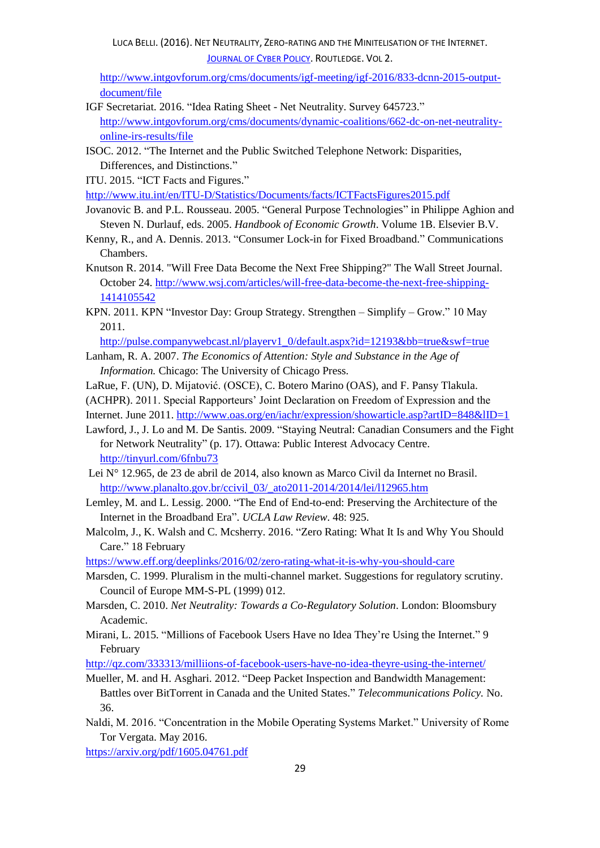[http://www.intgovforum.org/cms/documents/igf-meeting/igf-2016/833-dcnn-2015-output](http://www.intgovforum.org/cms/documents/igf-meeting/igf-2016/833-dcnn-2015-output-document/file)[document/file](http://www.intgovforum.org/cms/documents/igf-meeting/igf-2016/833-dcnn-2015-output-document/file)

- IGF Secretariat. 2016. "Idea Rating Sheet Net Neutrality. Survey 645723." [http://www.intgovforum.org/cms/documents/dynamic-coalitions/662-dc-on-net-neutrality](http://www.intgovforum.org/cms/documents/dynamic-coalitions/662-dc-on-net-neutrality-online-irs-results/file)[online-irs-results/file](http://www.intgovforum.org/cms/documents/dynamic-coalitions/662-dc-on-net-neutrality-online-irs-results/file)
- ISOC. 2012. "The Internet and the Public Switched Telephone Network: Disparities, Differences, and Distinctions."
- ITU. 2015. "ICT Facts and Figures."

<http://www.itu.int/en/ITU-D/Statistics/Documents/facts/ICTFactsFigures2015.pdf>

- Jovanovic B. and P.L. Rousseau. 2005. "General Purpose Technologies" in Philippe Aghion and Steven N. Durlauf, eds. 2005. *Handbook of Economic Growth*. Volume 1B. Elsevier B.V.
- Kenny, R., and A. Dennis. 2013. "Consumer Lock-in for Fixed Broadband." Communications Chambers.
- Knutson R. 2014. "Will Free Data Become the Next Free Shipping?" The Wall Street Journal. October 24. [http://www.wsj.com/articles/will-free-data-become-the-next-free-shipping-](http://www.wsj.com/articles/will-free-data-become-the-next-free-shipping-1414105542)[1414105542](http://www.wsj.com/articles/will-free-data-become-the-next-free-shipping-1414105542)
- KPN. 2011. KPN "Investor Day: Group Strategy. Strengthen Simplify Grow." 10 May 2011.

[http://pulse.companywebcast.nl/playerv1\\_0/default.aspx?id=12193&bb=true&swf=true](http://pulse.companywebcast.nl/playerv1_0/default.aspx?id=12193&bb=true&swf=true)

- Lanham, R. A. 2007. *The Economics of Attention: Style and Substance in the Age of Information.* Chicago: The University of Chicago Press.
- LaRue, F. (UN), D. Mijatović. (OSCE), C. Botero Marino (OAS), and F. Pansy Tlakula.
- (ACHPR). 2011. Special Rapporteurs' Joint Declaration on Freedom of Expression and the
- Internet. June 2011. <http://www.oas.org/en/iachr/expression/showarticle.asp?artID=848&lID=1>
- Lawford, J., J. Lo and M. De Santis. 2009. "Staying Neutral: Canadian Consumers and the Fight for Network Neutrality" (p. 17). Ottawa: Public Interest Advocacy Centre. <http://tinyurl.com/6fnbu73>
- Lei N° 12.965, de 23 de abril de 2014, also known as Marco Civil da Internet no Brasil. [http://www.planalto.gov.br/ccivil\\_03/\\_ato2011-2014/2014/lei/l12965.htm](http://www.planalto.gov.br/ccivil_03/_ato2011-2014/2014/lei/l12965.htm)
- Lemley, M. and L. Lessig. 2000. "The End of End-to-end: Preserving the Architecture of the Internet in the Broadband Era". *UCLA Law Review*. 48: 925.
- Malcolm, J., K. Walsh and C. Mcsherry. 2016. "Zero Rating: What It Is and Why You Should Care." 18 February

<https://www.eff.org/deeplinks/2016/02/zero-rating-what-it-is-why-you-should-care>

- Marsden, C. 1999. Pluralism in the multi-channel market. Suggestions for regulatory scrutiny. Council of Europe MM-S-PL (1999) 012.
- Marsden, C. 2010. *Net Neutrality: Towards a Co-Regulatory Solution*. London: Bloomsbury Academic.
- Mirani, L. 2015. "Millions of Facebook Users Have no Idea They're Using the Internet." 9 February

<http://qz.com/333313/milliions-of-facebook-users-have-no-idea-theyre-using-the-internet/>

Mueller, M. and H. Asghari. 2012. "Deep Packet Inspection and Bandwidth Management: Battles over BitTorrent in Canada and the United States." *Telecommunications Policy.* No. 36.

Naldi, M. 2016. "Concentration in the Mobile Operating Systems Market." University of Rome Tor Vergata. May 2016.

<https://arxiv.org/pdf/1605.04761.pdf>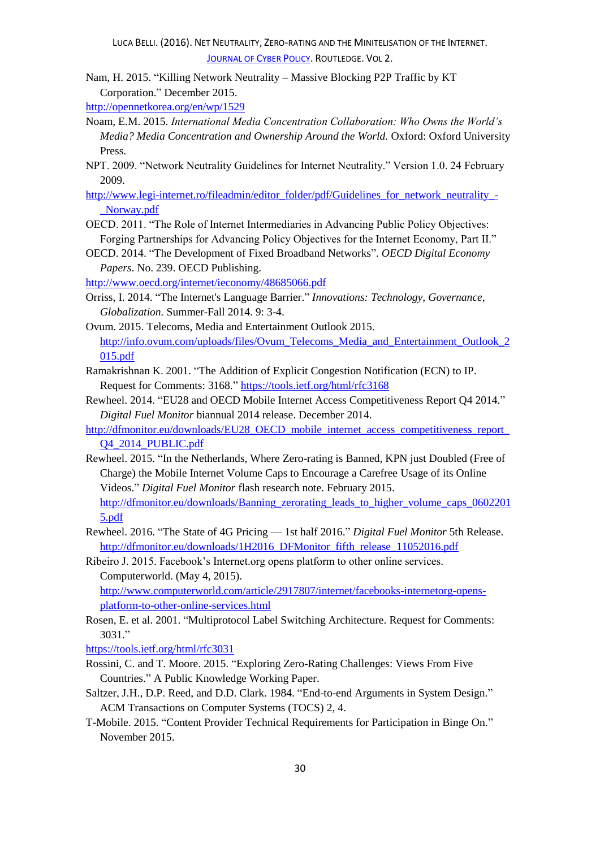Nam, H. 2015. "Killing Network Neutrality – Massive Blocking P2P Traffic by KT Corporation." December 2015.

<http://opennetkorea.org/en/wp/1529>

- Noam, E.M. 2015. *International Media Concentration Collaboration: Who Owns the World's Media? Media Concentration and Ownership Around the World.* Oxford: Oxford University Press.
- NPT. 2009. "Network Neutrality Guidelines for Internet Neutrality." Version 1.0. 24 February 2009.
- [http://www.legi-internet.ro/fileadmin/editor\\_folder/pdf/Guidelines\\_for\\_network\\_neutrality\\_-](http://www.legi-internet.ro/fileadmin/editor_folder/pdf/Guidelines_for_network_neutrality_-_Norway.pdf) [\\_Norway.pdf](http://www.legi-internet.ro/fileadmin/editor_folder/pdf/Guidelines_for_network_neutrality_-_Norway.pdf)
- OECD. 2011. "The Role of Internet Intermediaries in Advancing Public Policy Objectives: Forging Partnerships for Advancing Policy Objectives for the Internet Economy, Part II."
- OECD. 2014. "The Development of Fixed Broadband Networks". *OECD Digital Economy Papers*. No. 239. OECD Publishing.

<http://www.oecd.org/internet/ieconomy/48685066.pdf>

- Orriss, I. 2014. "The Internet's Language Barrier." *Innovations: Technology, Governance, Globalization.* Summer-Fall 2014. 9: 3-4.
- Ovum. 2015. Telecoms, Media and Entertainment Outlook 2015. [http://info.ovum.com/uploads/files/Ovum\\_Telecoms\\_Media\\_and\\_Entertainment\\_Outlook\\_2](http://info.ovum.com/uploads/files/Ovum_Telecoms_Media_and_Entertainment_Outlook_2015.pdf) [015.pdf](http://info.ovum.com/uploads/files/Ovum_Telecoms_Media_and_Entertainment_Outlook_2015.pdf)
- Ramakrishnan K. 2001. "The Addition of Explicit Congestion Notification (ECN) to IP. Request for Comments: 3168." <https://tools.ietf.org/html/rfc3168>
- Rewheel. 2014. "EU28 and OECD Mobile Internet Access Competitiveness Report Q4 2014." *Digital Fuel Monitor* biannual 2014 release. December 2014.
- [http://dfmonitor.eu/downloads/EU28\\_OECD\\_mobile\\_internet\\_access\\_competitiveness\\_report\\_](http://dfmonitor.eu/downloads/EU28_OECD_mobile_internet_access_competitiveness_report_Q4_2014_PUBLIC.pdf) [Q4\\_2014\\_PUBLIC.pdf](http://dfmonitor.eu/downloads/EU28_OECD_mobile_internet_access_competitiveness_report_Q4_2014_PUBLIC.pdf)
- Rewheel. 2015. "In the Netherlands, Where Zero-rating is Banned, KPN just Doubled (Free of Charge) the Mobile Internet Volume Caps to Encourage a Carefree Usage of its Online Videos." *Digital Fuel Monitor* flash research note. February 2015. [http://dfmonitor.eu/downloads/Banning\\_zerorating\\_leads\\_to\\_higher\\_volume\\_caps\\_0602201](http://dfmonitor.eu/downloads/Banning_zerorating_leads_to_higher_volume_caps_06022015.pdf) [5.pdf](http://dfmonitor.eu/downloads/Banning_zerorating_leads_to_higher_volume_caps_06022015.pdf)
- Rewheel. 2016. "The State of 4G Pricing 1st half 2016." *Digital Fuel Monitor* 5th Release. [http://dfmonitor.eu/downloads/1H2016\\_DFMonitor\\_fifth\\_release\\_11052016.pdf](http://dfmonitor.eu/downloads/1H2016_DFMonitor_fifth_release_11052016.pdf)

Ribeiro J. 2015. Facebook's Internet.org opens platform to other online services. Computerworld. (May 4, 2015). [http://www.computerworld.com/article/2917807/internet/facebooks-internetorg-opens-](http://www.computerworld.com/article/2917807/internet/facebooks-internetorg-opens-platform-to-other-online-services.html)

[platform-to-other-online-services.html](http://www.computerworld.com/article/2917807/internet/facebooks-internetorg-opens-platform-to-other-online-services.html)

Rosen, E. et al. 2001. "Multiprotocol Label Switching Architecture. Request for Comments: 3031."

<https://tools.ietf.org/html/rfc3031>

- Rossini, C. and T. Moore. 2015. "Exploring Zero-Rating Challenges: Views From Five Countries." A Public Knowledge Working Paper.
- Saltzer, J.H., D.P. Reed, and D.D. Clark. 1984. "End-to-end Arguments in System Design." ACM Transactions on Computer Systems (TOCS) 2, 4.
- T-Mobile. 2015. "Content Provider Technical Requirements for Participation in Binge On." November 2015.